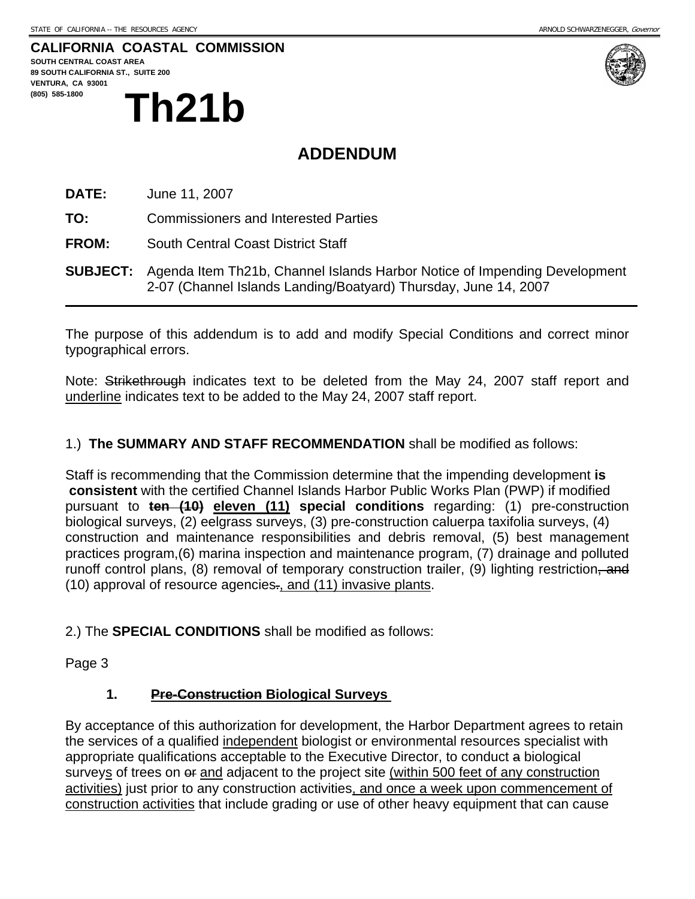#### **CALIFORNIA COASTAL COMMISSION**

**SOUTH CENTRAL COAST AREA 89 SOUTH CALIFORNIA ST., SUITE 200 VENTURA, CA 93001**  (805) 585-1800<br> **Th21b** 



## **ADDENDUM**

**DATE:** June 11, 2007

**TO:** Commissioners and Interested Parties

**FROM:** South Central Coast District Staff

**SUBJECT:** Agenda Item Th21b, Channel Islands Harbor Notice of Impending Development 2-07 (Channel Islands Landing/Boatyard) Thursday, June 14, 2007

The purpose of this addendum is to add and modify Special Conditions and correct minor typographical errors.

Note: Strikethrough indicates text to be deleted from the May 24, 2007 staff report and underline indicates text to be added to the May 24, 2007 staff report.

#### 1.) **The SUMMARY AND STAFF RECOMMENDATION** shall be modified as follows:

Staff is recommending that the Commission determine that the impending development **is consistent** with the certified Channel Islands Harbor Public Works Plan (PWP) if modified pursuant to **ten (10) eleven (11) special conditions** regarding: (1) pre-construction biological surveys, (2) eelgrass surveys, (3) pre-construction caluerpa taxifolia surveys, (4) construction and maintenance responsibilities and debris removal, (5) best management practices program,(6) marina inspection and maintenance program, (7) drainage and polluted runoff control plans, (8) removal of temporary construction trailer, (9) lighting restriction, and (10) approval of resource agencies., and (11) invasive plants.

2.) The **SPECIAL CONDITIONS** shall be modified as follows:

Page 3

#### **1. Pre-Construction Biological Surveys**

By acceptance of this authorization for development, the Harbor Department agrees to retain the services of a qualified independent biologist or environmental resources specialist with appropriate qualifications acceptable to the Executive Director, to conduct a biological surveys of trees on  $e$  and adjacent to the project site (within 500 feet of any construction activities) just prior to any construction activities, and once a week upon commencement of construction activities that include grading or use of other heavy equipment that can cause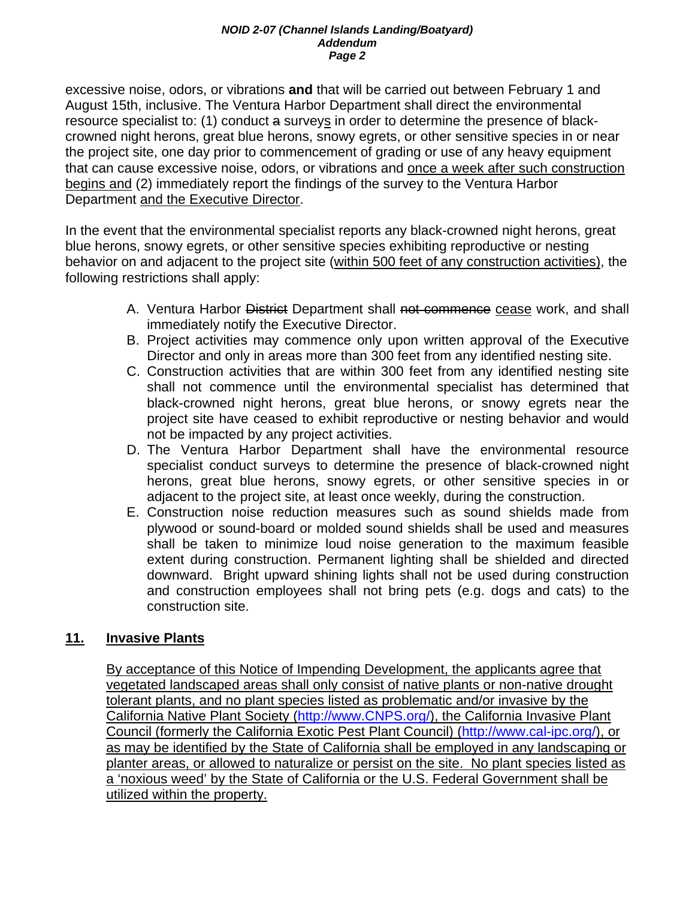#### *NOID 2-07 (Channel Islands Landing/Boatyard) Addendum Page 2*

excessive noise, odors, or vibrations **and** that will be carried out between February 1 and August 15th, inclusive. The Ventura Harbor Department shall direct the environmental resource specialist to: (1) conduct a surveys in order to determine the presence of blackcrowned night herons, great blue herons, snowy egrets, or other sensitive species in or near the project site, one day prior to commencement of grading or use of any heavy equipment that can cause excessive noise, odors, or vibrations and once a week after such construction begins and (2) immediately report the findings of the survey to the Ventura Harbor Department and the Executive Director.

In the event that the environmental specialist reports any black-crowned night herons, great blue herons, snowy egrets, or other sensitive species exhibiting reproductive or nesting behavior on and adjacent to the project site (within 500 feet of any construction activities), the following restrictions shall apply:

- A. Ventura Harbor District Department shall not commence cease work, and shall immediately notify the Executive Director.
- B. Project activities may commence only upon written approval of the Executive Director and only in areas more than 300 feet from any identified nesting site.
- C. Construction activities that are within 300 feet from any identified nesting site shall not commence until the environmental specialist has determined that black-crowned night herons, great blue herons, or snowy egrets near the project site have ceased to exhibit reproductive or nesting behavior and would not be impacted by any project activities.
- D. The Ventura Harbor Department shall have the environmental resource specialist conduct surveys to determine the presence of black-crowned night herons, great blue herons, snowy egrets, or other sensitive species in or adjacent to the project site, at least once weekly, during the construction.
- E. Construction noise reduction measures such as sound shields made from plywood or sound-board or molded sound shields shall be used and measures shall be taken to minimize loud noise generation to the maximum feasible extent during construction. Permanent lighting shall be shielded and directed downward. Bright upward shining lights shall not be used during construction and construction employees shall not bring pets (e.g. dogs and cats) to the construction site.

#### **11. Invasive Plants**

By acceptance of this Notice of Impending Development, the applicants agree that vegetated landscaped areas shall only consist of native plants or non-native drought tolerant plants, and no plant species listed as problematic and/or invasive by the California Native Plant Society (http://www.CNPS.org/), the California Invasive Plant Council (formerly the California Exotic Pest Plant Council) (http://www.cal-ipc.org/), or as may be identified by the State of California shall be employed in any landscaping or planter areas, or allowed to naturalize or persist on the site. No plant species listed as a 'noxious weed' by the State of California or the U.S. Federal Government shall be utilized within the property.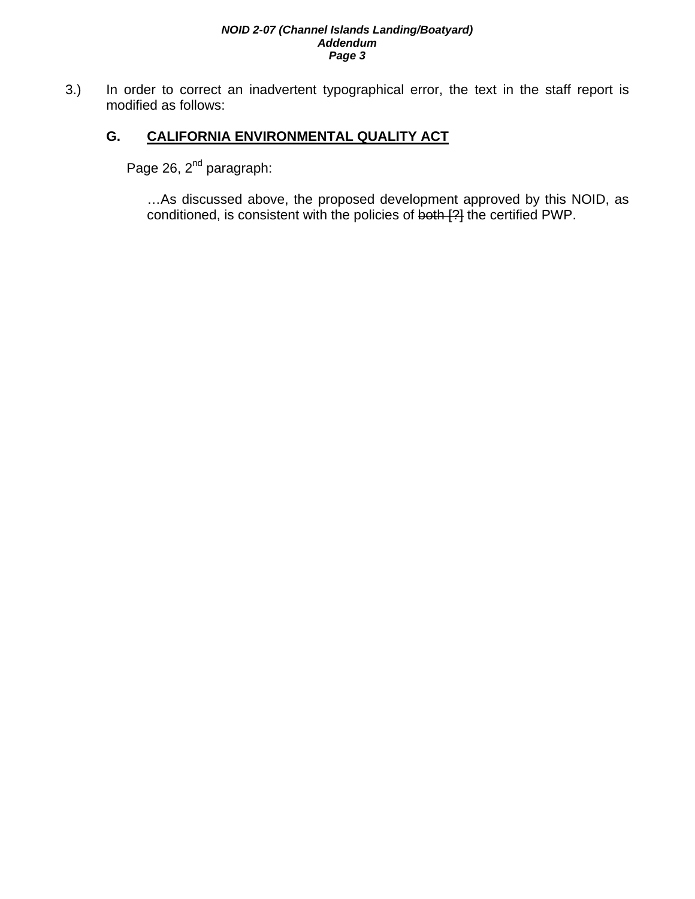#### *NOID 2-07 (Channel Islands Landing/Boatyard) Addendum Page 3*

3.) In order to correct an inadvertent typographical error, the text in the staff report is modified as follows:

#### **G. CALIFORNIA ENVIRONMENTAL QUALITY ACT**

Page 26, 2<sup>nd</sup> paragraph:

…As discussed above, the proposed development approved by this NOID, as conditioned, is consistent with the policies of both [?] the certified PWP.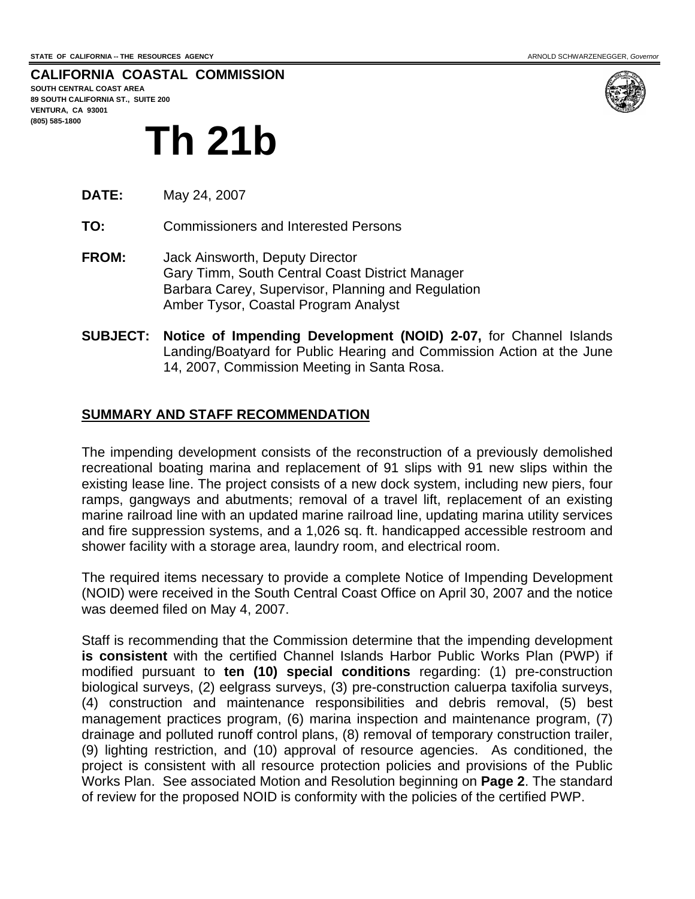**CALIFORNIA COASTAL COMMISSION SOUTH CENTRAL COAST AREA**

**89 SOUTH CALIFORNIA ST., SUITE 200 VENTURA, CA 93001 (805) 585-1800** 

# **Th 21b**

- **DATE:** May 24, 2007
- **TO:** Commissioners and Interested Persons
- **FROM:** Jack Ainsworth, Deputy Director Gary Timm, South Central Coast District Manager Barbara Carey, Supervisor, Planning and Regulation Amber Tysor, Coastal Program Analyst
- **SUBJECT: Notice of Impending Development (NOID) 2-07,** for Channel Islands Landing/Boatyard for Public Hearing and Commission Action at the June 14, 2007, Commission Meeting in Santa Rosa.

#### **SUMMARY AND STAFF RECOMMENDATION**

The impending development consists of the reconstruction of a previously demolished recreational boating marina and replacement of 91 slips with 91 new slips within the existing lease line. The project consists of a new dock system, including new piers, four ramps, gangways and abutments; removal of a travel lift, replacement of an existing marine railroad line with an updated marine railroad line, updating marina utility services and fire suppression systems, and a 1,026 sq. ft. handicapped accessible restroom and shower facility with a storage area, laundry room, and electrical room.

The required items necessary to provide a complete Notice of Impending Development (NOID) were received in the South Central Coast Office on April 30, 2007 and the notice was deemed filed on May 4, 2007.

Staff is recommending that the Commission determine that the impending development **is consistent** with the certified Channel Islands Harbor Public Works Plan (PWP) if modified pursuant to **ten (10) special conditions** regarding: (1) pre-construction biological surveys, (2) eelgrass surveys, (3) pre-construction caluerpa taxifolia surveys, (4) construction and maintenance responsibilities and debris removal, (5) best management practices program, (6) marina inspection and maintenance program, (7) drainage and polluted runoff control plans, (8) removal of temporary construction trailer, (9) lighting restriction, and (10) approval of resource agencies. As conditioned, the project is consistent with all resource protection policies and provisions of the Public Works Plan. See associated Motion and Resolution beginning on **Page 2**. The standard of review for the proposed NOID is conformity with the policies of the certified PWP.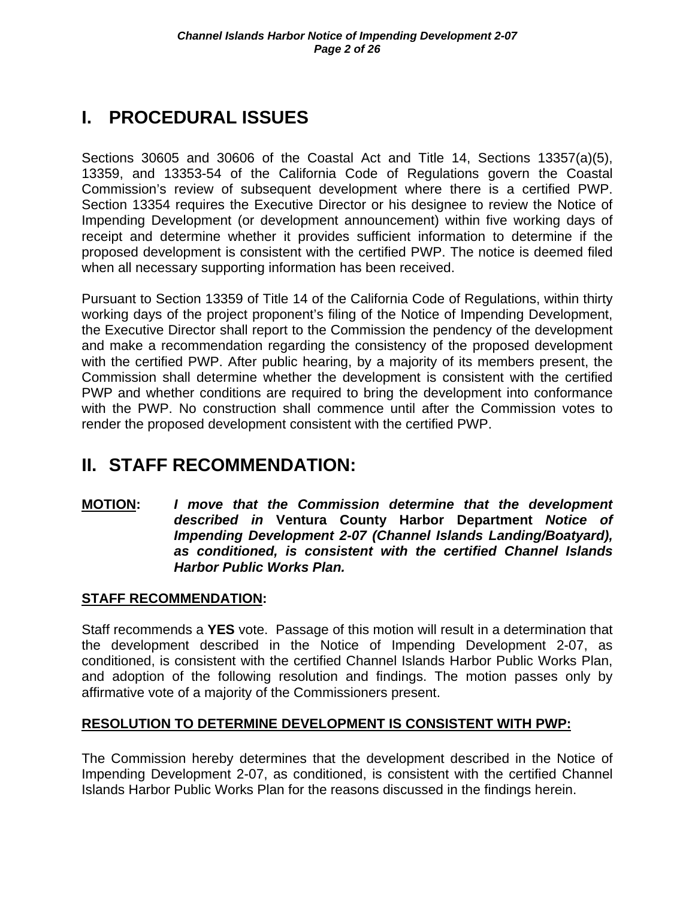## **I. PROCEDURAL ISSUES**

Sections 30605 and 30606 of the Coastal Act and Title 14, Sections 13357(a)(5), 13359, and 13353-54 of the California Code of Regulations govern the Coastal Commission's review of subsequent development where there is a certified PWP. Section 13354 requires the Executive Director or his designee to review the Notice of Impending Development (or development announcement) within five working days of receipt and determine whether it provides sufficient information to determine if the proposed development is consistent with the certified PWP. The notice is deemed filed when all necessary supporting information has been received.

Pursuant to Section 13359 of Title 14 of the California Code of Regulations, within thirty working days of the project proponent's filing of the Notice of Impending Development, the Executive Director shall report to the Commission the pendency of the development and make a recommendation regarding the consistency of the proposed development with the certified PWP. After public hearing, by a majority of its members present, the Commission shall determine whether the development is consistent with the certified PWP and whether conditions are required to bring the development into conformance with the PWP. No construction shall commence until after the Commission votes to render the proposed development consistent with the certified PWP.

## **II. STAFF RECOMMENDATION:**

**MOTION:** *I move that the Commission determine that the development described in* **Ventura County Harbor Department** *Notice of Impending Development 2-07 (Channel Islands Landing/Boatyard), as conditioned, is consistent with the certified Channel Islands Harbor Public Works Plan.* 

#### **STAFF RECOMMENDATION:**

Staff recommends a **YES** vote. Passage of this motion will result in a determination that the development described in the Notice of Impending Development 2-07, as conditioned, is consistent with the certified Channel Islands Harbor Public Works Plan, and adoption of the following resolution and findings. The motion passes only by affirmative vote of a majority of the Commissioners present.

#### **RESOLUTION TO DETERMINE DEVELOPMENT IS CONSISTENT WITH PWP:**

The Commission hereby determines that the development described in the Notice of Impending Development 2-07, as conditioned, is consistent with the certified Channel Islands Harbor Public Works Plan for the reasons discussed in the findings herein.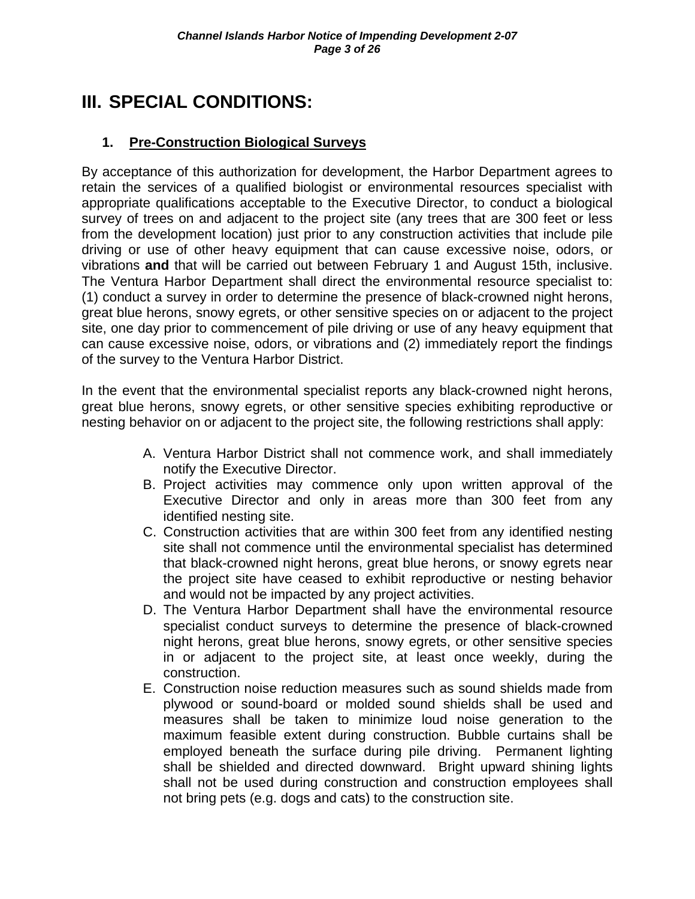## **III. SPECIAL CONDITIONS:**

#### **1. Pre-Construction Biological Surveys**

By acceptance of this authorization for development, the Harbor Department agrees to retain the services of a qualified biologist or environmental resources specialist with appropriate qualifications acceptable to the Executive Director, to conduct a biological survey of trees on and adjacent to the project site (any trees that are 300 feet or less from the development location) just prior to any construction activities that include pile driving or use of other heavy equipment that can cause excessive noise, odors, or vibrations **and** that will be carried out between February 1 and August 15th, inclusive. The Ventura Harbor Department shall direct the environmental resource specialist to: (1) conduct a survey in order to determine the presence of black-crowned night herons, great blue herons, snowy egrets, or other sensitive species on or adjacent to the project site, one day prior to commencement of pile driving or use of any heavy equipment that can cause excessive noise, odors, or vibrations and (2) immediately report the findings of the survey to the Ventura Harbor District.

In the event that the environmental specialist reports any black-crowned night herons, great blue herons, snowy egrets, or other sensitive species exhibiting reproductive or nesting behavior on or adjacent to the project site, the following restrictions shall apply:

- A. Ventura Harbor District shall not commence work, and shall immediately notify the Executive Director.
- B. Project activities may commence only upon written approval of the Executive Director and only in areas more than 300 feet from any identified nesting site.
- C. Construction activities that are within 300 feet from any identified nesting site shall not commence until the environmental specialist has determined that black-crowned night herons, great blue herons, or snowy egrets near the project site have ceased to exhibit reproductive or nesting behavior and would not be impacted by any project activities.
- D. The Ventura Harbor Department shall have the environmental resource specialist conduct surveys to determine the presence of black-crowned night herons, great blue herons, snowy egrets, or other sensitive species in or adjacent to the project site, at least once weekly, during the construction.
- E. Construction noise reduction measures such as sound shields made from plywood or sound-board or molded sound shields shall be used and measures shall be taken to minimize loud noise generation to the maximum feasible extent during construction. Bubble curtains shall be employed beneath the surface during pile driving. Permanent lighting shall be shielded and directed downward. Bright upward shining lights shall not be used during construction and construction employees shall not bring pets (e.g. dogs and cats) to the construction site.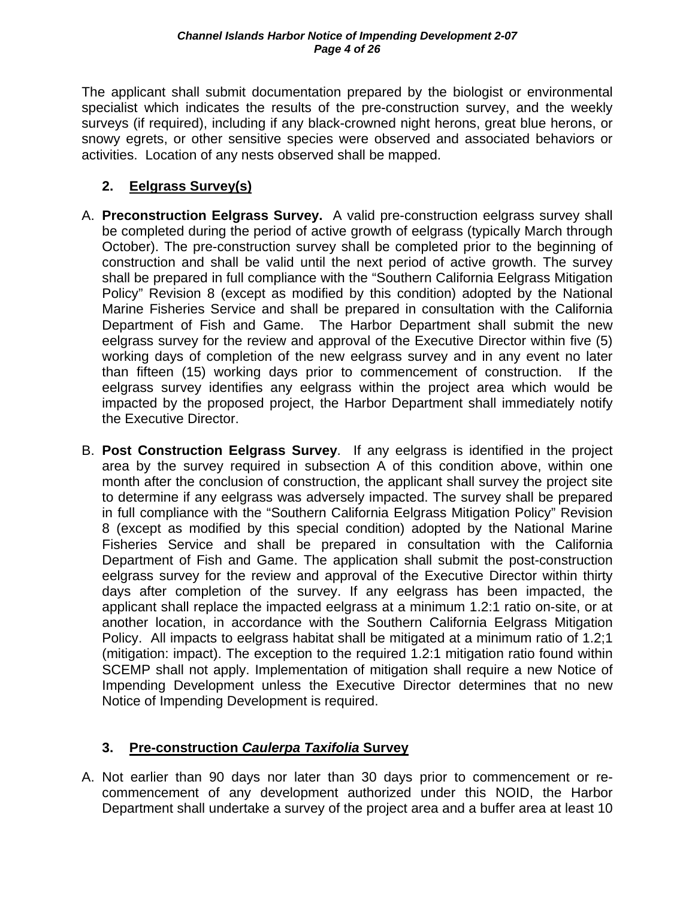The applicant shall submit documentation prepared by the biologist or environmental specialist which indicates the results of the pre-construction survey, and the weekly surveys (if required), including if any black-crowned night herons, great blue herons, or snowy egrets, or other sensitive species were observed and associated behaviors or activities. Location of any nests observed shall be mapped.

#### **2. Eelgrass Survey(s)**

- A. **Preconstruction Eelgrass Survey.** A valid pre-construction eelgrass survey shall be completed during the period of active growth of eelgrass (typically March through October). The pre-construction survey shall be completed prior to the beginning of construction and shall be valid until the next period of active growth. The survey shall be prepared in full compliance with the "Southern California Eelgrass Mitigation Policy" Revision 8 (except as modified by this condition) adopted by the National Marine Fisheries Service and shall be prepared in consultation with the California Department of Fish and Game. The Harbor Department shall submit the new eelgrass survey for the review and approval of the Executive Director within five (5) working days of completion of the new eelgrass survey and in any event no later than fifteen (15) working days prior to commencement of construction. If the eelgrass survey identifies any eelgrass within the project area which would be impacted by the proposed project, the Harbor Department shall immediately notify the Executive Director.
- B. **Post Construction Eelgrass Survey**.If any eelgrass is identified in the project area by the survey required in subsection A of this condition above, within one month after the conclusion of construction, the applicant shall survey the project site to determine if any eelgrass was adversely impacted. The survey shall be prepared in full compliance with the "Southern California Eelgrass Mitigation Policy" Revision 8 (except as modified by this special condition) adopted by the National Marine Fisheries Service and shall be prepared in consultation with the California Department of Fish and Game. The application shall submit the post-construction eelgrass survey for the review and approval of the Executive Director within thirty days after completion of the survey. If any eelgrass has been impacted, the applicant shall replace the impacted eelgrass at a minimum 1.2:1 ratio on-site, or at another location, in accordance with the Southern California Eelgrass Mitigation Policy. All impacts to eelgrass habitat shall be mitigated at a minimum ratio of 1.2;1 (mitigation: impact). The exception to the required 1.2:1 mitigation ratio found within SCEMP shall not apply. Implementation of mitigation shall require a new Notice of Impending Development unless the Executive Director determines that no new Notice of Impending Development is required.

### **3. Pre-construction** *Caulerpa Taxifolia* **Survey**

A. Not earlier than 90 days nor later than 30 days prior to commencement or recommencement of any development authorized under this NOID, the Harbor Department shall undertake a survey of the project area and a buffer area at least 10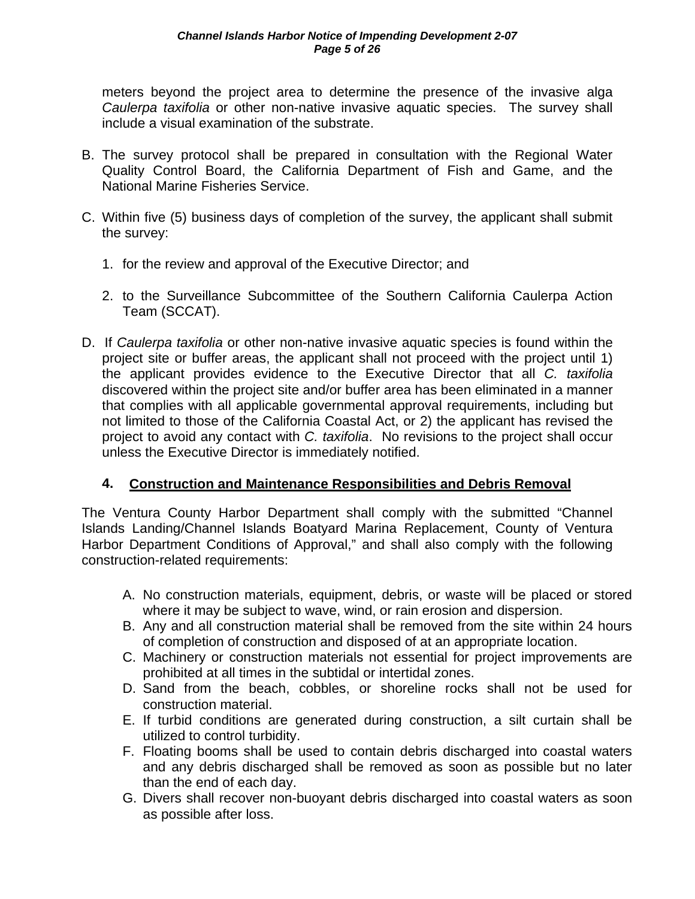meters beyond the project area to determine the presence of the invasive alga *Caulerpa taxifolia* or other non-native invasive aquatic species. The survey shall include a visual examination of the substrate.

- B. The survey protocol shall be prepared in consultation with the Regional Water Quality Control Board, the California Department of Fish and Game, and the National Marine Fisheries Service.
- C. Within five (5) business days of completion of the survey, the applicant shall submit the survey:
	- 1. for the review and approval of the Executive Director; and
	- 2. to the Surveillance Subcommittee of the Southern California Caulerpa Action Team (SCCAT).
- D. If *Caulerpa taxifolia* or other non-native invasive aquatic species is found within the project site or buffer areas, the applicant shall not proceed with the project until 1) the applicant provides evidence to the Executive Director that all *C. taxifolia* discovered within the project site and/or buffer area has been eliminated in a manner that complies with all applicable governmental approval requirements, including but not limited to those of the California Coastal Act, or 2) the applicant has revised the project to avoid any contact with *C. taxifolia*. No revisions to the project shall occur unless the Executive Director is immediately notified.

#### **4. Construction and Maintenance Responsibilities and Debris Removal**

The Ventura County Harbor Department shall comply with the submitted "Channel Islands Landing/Channel Islands Boatyard Marina Replacement, County of Ventura Harbor Department Conditions of Approval," and shall also comply with the following construction-related requirements:

- A. No construction materials, equipment, debris, or waste will be placed or stored where it may be subject to wave, wind, or rain erosion and dispersion.
- B. Any and all construction material shall be removed from the site within 24 hours of completion of construction and disposed of at an appropriate location.
- C. Machinery or construction materials not essential for project improvements are prohibited at all times in the subtidal or intertidal zones.
- D. Sand from the beach, cobbles, or shoreline rocks shall not be used for construction material.
- E. If turbid conditions are generated during construction, a silt curtain shall be utilized to control turbidity.
- F. Floating booms shall be used to contain debris discharged into coastal waters and any debris discharged shall be removed as soon as possible but no later than the end of each day.
- G. Divers shall recover non-buoyant debris discharged into coastal waters as soon as possible after loss.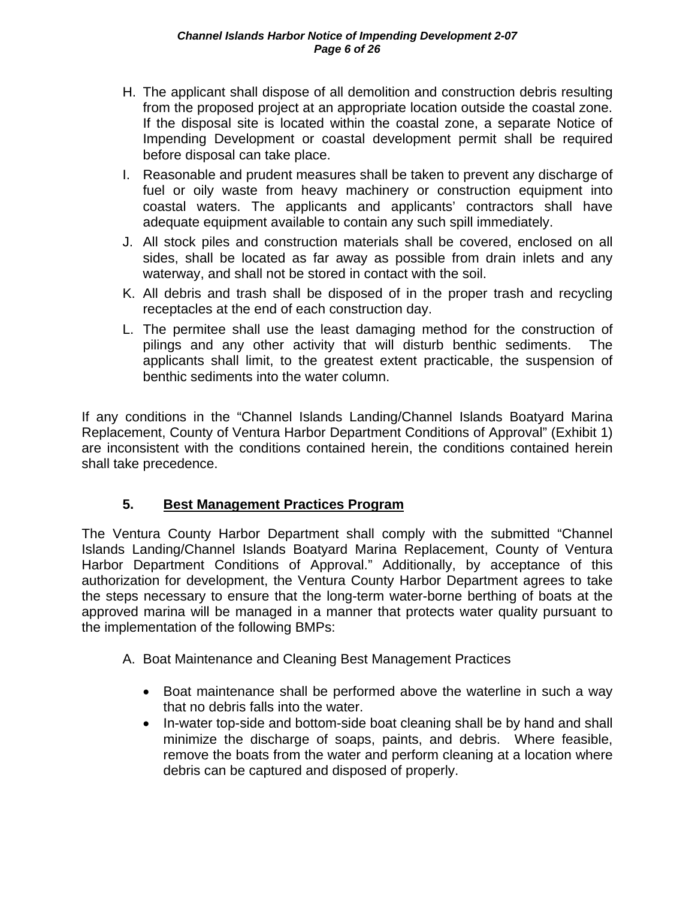- H. The applicant shall dispose of all demolition and construction debris resulting from the proposed project at an appropriate location outside the coastal zone. If the disposal site is located within the coastal zone, a separate Notice of Impending Development or coastal development permit shall be required before disposal can take place.
- I. Reasonable and prudent measures shall be taken to prevent any discharge of fuel or oily waste from heavy machinery or construction equipment into coastal waters. The applicants and applicants' contractors shall have adequate equipment available to contain any such spill immediately.
- J. All stock piles and construction materials shall be covered, enclosed on all sides, shall be located as far away as possible from drain inlets and any waterway, and shall not be stored in contact with the soil.
- K. All debris and trash shall be disposed of in the proper trash and recycling receptacles at the end of each construction day.
- L. The permitee shall use the least damaging method for the construction of pilings and any other activity that will disturb benthic sediments. The applicants shall limit, to the greatest extent practicable, the suspension of benthic sediments into the water column.

If any conditions in the "Channel Islands Landing/Channel Islands Boatyard Marina Replacement, County of Ventura Harbor Department Conditions of Approval" (Exhibit 1) are inconsistent with the conditions contained herein, the conditions contained herein shall take precedence.

#### **5. Best Management Practices Program**

The Ventura County Harbor Department shall comply with the submitted "Channel Islands Landing/Channel Islands Boatyard Marina Replacement, County of Ventura Harbor Department Conditions of Approval." Additionally, by acceptance of this authorization for development, the Ventura County Harbor Department agrees to take the steps necessary to ensure that the long-term water-borne berthing of boats at the approved marina will be managed in a manner that protects water quality pursuant to the implementation of the following BMPs:

- A. Boat Maintenance and Cleaning Best Management Practices
	- Boat maintenance shall be performed above the waterline in such a way that no debris falls into the water.
	- In-water top-side and bottom-side boat cleaning shall be by hand and shall minimize the discharge of soaps, paints, and debris. Where feasible, remove the boats from the water and perform cleaning at a location where debris can be captured and disposed of properly.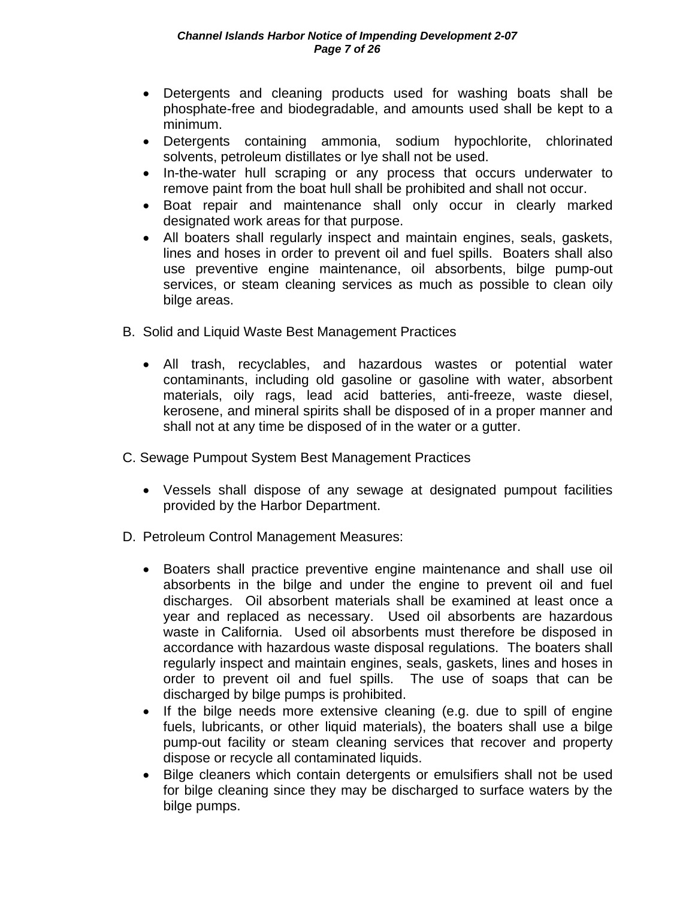- Detergents and cleaning products used for washing boats shall be phosphate-free and biodegradable, and amounts used shall be kept to a minimum.
- Detergents containing ammonia, sodium hypochlorite, chlorinated solvents, petroleum distillates or lye shall not be used.
- In-the-water hull scraping or any process that occurs underwater to remove paint from the boat hull shall be prohibited and shall not occur.
- Boat repair and maintenance shall only occur in clearly marked designated work areas for that purpose.
- All boaters shall regularly inspect and maintain engines, seals, gaskets, lines and hoses in order to prevent oil and fuel spills. Boaters shall also use preventive engine maintenance, oil absorbents, bilge pump-out services, or steam cleaning services as much as possible to clean oily bilge areas.
- B. Solid and Liquid Waste Best Management Practices
	- All trash, recyclables, and hazardous wastes or potential water contaminants, including old gasoline or gasoline with water, absorbent materials, oily rags, lead acid batteries, anti-freeze, waste diesel, kerosene, and mineral spirits shall be disposed of in a proper manner and shall not at any time be disposed of in the water or a gutter.
- C. Sewage Pumpout System Best Management Practices
	- Vessels shall dispose of any sewage at designated pumpout facilities provided by the Harbor Department.
- D. Petroleum Control Management Measures:
	- Boaters shall practice preventive engine maintenance and shall use oil absorbents in the bilge and under the engine to prevent oil and fuel discharges. Oil absorbent materials shall be examined at least once a year and replaced as necessary. Used oil absorbents are hazardous waste in California. Used oil absorbents must therefore be disposed in accordance with hazardous waste disposal regulations. The boaters shall regularly inspect and maintain engines, seals, gaskets, lines and hoses in order to prevent oil and fuel spills. The use of soaps that can be discharged by bilge pumps is prohibited.
	- If the bilge needs more extensive cleaning (e.g. due to spill of engine fuels, lubricants, or other liquid materials), the boaters shall use a bilge pump-out facility or steam cleaning services that recover and property dispose or recycle all contaminated liquids.
	- Bilge cleaners which contain detergents or emulsifiers shall not be used for bilge cleaning since they may be discharged to surface waters by the bilge pumps.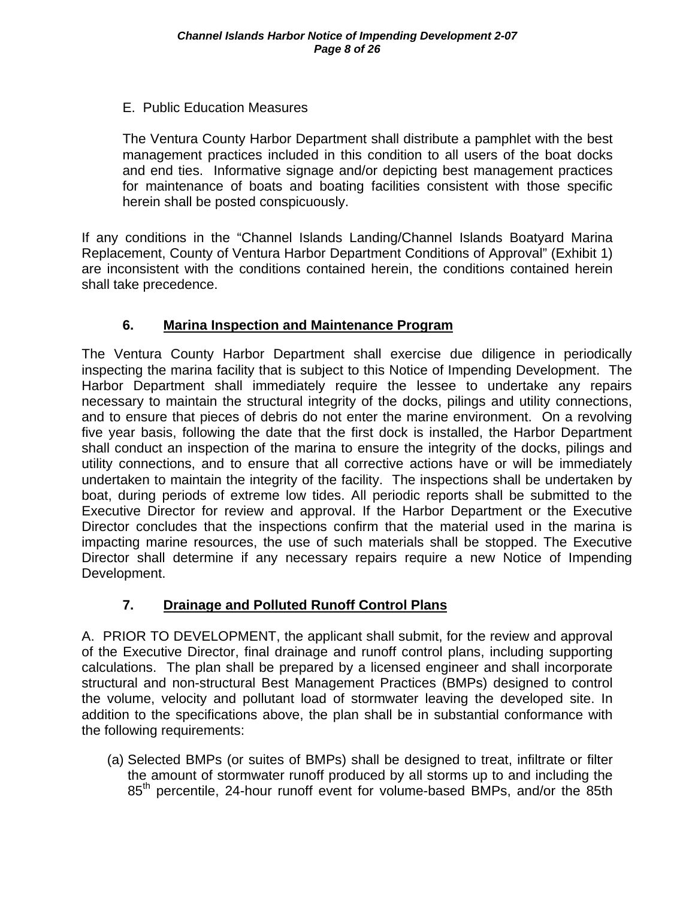#### E. Public Education Measures

The Ventura County Harbor Department shall distribute a pamphlet with the best management practices included in this condition to all users of the boat docks and end ties. Informative signage and/or depicting best management practices for maintenance of boats and boating facilities consistent with those specific herein shall be posted conspicuously.

If any conditions in the "Channel Islands Landing/Channel Islands Boatyard Marina Replacement, County of Ventura Harbor Department Conditions of Approval" (Exhibit 1) are inconsistent with the conditions contained herein, the conditions contained herein shall take precedence.

#### **6. Marina Inspection and Maintenance Program**

The Ventura County Harbor Department shall exercise due diligence in periodically inspecting the marina facility that is subject to this Notice of Impending Development. The Harbor Department shall immediately require the lessee to undertake any repairs necessary to maintain the structural integrity of the docks, pilings and utility connections, and to ensure that pieces of debris do not enter the marine environment. On a revolving five year basis, following the date that the first dock is installed, the Harbor Department shall conduct an inspection of the marina to ensure the integrity of the docks, pilings and utility connections, and to ensure that all corrective actions have or will be immediately undertaken to maintain the integrity of the facility. The inspections shall be undertaken by boat, during periods of extreme low tides. All periodic reports shall be submitted to the Executive Director for review and approval. If the Harbor Department or the Executive Director concludes that the inspections confirm that the material used in the marina is impacting marine resources, the use of such materials shall be stopped. The Executive Director shall determine if any necessary repairs require a new Notice of Impending Development.

#### **7. Drainage and Polluted Runoff Control Plans**

A. PRIOR TO DEVELOPMENT, the applicant shall submit, for the review and approval of the Executive Director, final drainage and runoff control plans, including supporting calculations. The plan shall be prepared by a licensed engineer and shall incorporate structural and non-structural Best Management Practices (BMPs) designed to control the volume, velocity and pollutant load of stormwater leaving the developed site. In addition to the specifications above, the plan shall be in substantial conformance with the following requirements:

(a) Selected BMPs (or suites of BMPs) shall be designed to treat, infiltrate or filter the amount of stormwater runoff produced by all storms up to and including the 85<sup>th</sup> percentile, 24-hour runoff event for volume-based BMPs, and/or the 85th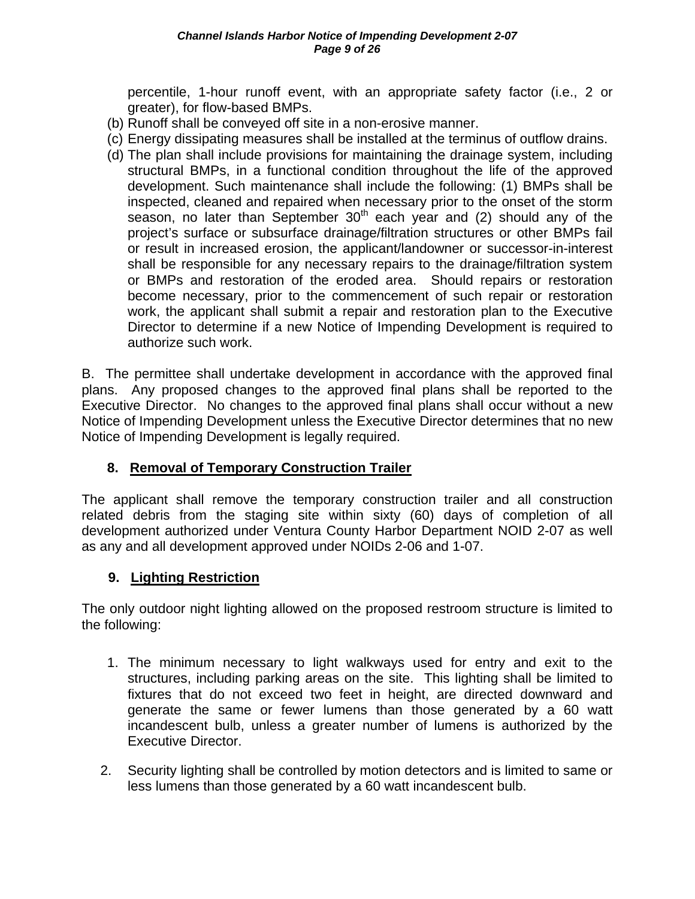percentile, 1-hour runoff event, with an appropriate safety factor (i.e., 2 or greater), for flow-based BMPs.

- (b) Runoff shall be conveyed off site in a non-erosive manner.
- (c) Energy dissipating measures shall be installed at the terminus of outflow drains.
- (d) The plan shall include provisions for maintaining the drainage system, including structural BMPs, in a functional condition throughout the life of the approved development. Such maintenance shall include the following: (1) BMPs shall be inspected, cleaned and repaired when necessary prior to the onset of the storm season, no later than September  $30<sup>th</sup>$  each year and (2) should any of the project's surface or subsurface drainage/filtration structures or other BMPs fail or result in increased erosion, the applicant/landowner or successor-in-interest shall be responsible for any necessary repairs to the drainage/filtration system or BMPs and restoration of the eroded area. Should repairs or restoration become necessary, prior to the commencement of such repair or restoration work, the applicant shall submit a repair and restoration plan to the Executive Director to determine if a new Notice of Impending Development is required to authorize such work.

B. The permittee shall undertake development in accordance with the approved final plans. Any proposed changes to the approved final plans shall be reported to the Executive Director. No changes to the approved final plans shall occur without a new Notice of Impending Development unless the Executive Director determines that no new Notice of Impending Development is legally required.

#### **8. Removal of Temporary Construction Trailer**

The applicant shall remove the temporary construction trailer and all construction related debris from the staging site within sixty (60) days of completion of all development authorized under Ventura County Harbor Department NOID 2-07 as well as any and all development approved under NOIDs 2-06 and 1-07.

#### **9. Lighting Restriction**

 The only outdoor night lighting allowed on the proposed restroom structure is limited to the following:

- 1. The minimum necessary to light walkways used for entry and exit to the structures, including parking areas on the site. This lighting shall be limited to fixtures that do not exceed two feet in height, are directed downward and generate the same or fewer lumens than those generated by a 60 watt incandescent bulb, unless a greater number of lumens is authorized by the Executive Director.
- 2. Security lighting shall be controlled by motion detectors and is limited to same or less lumens than those generated by a 60 watt incandescent bulb.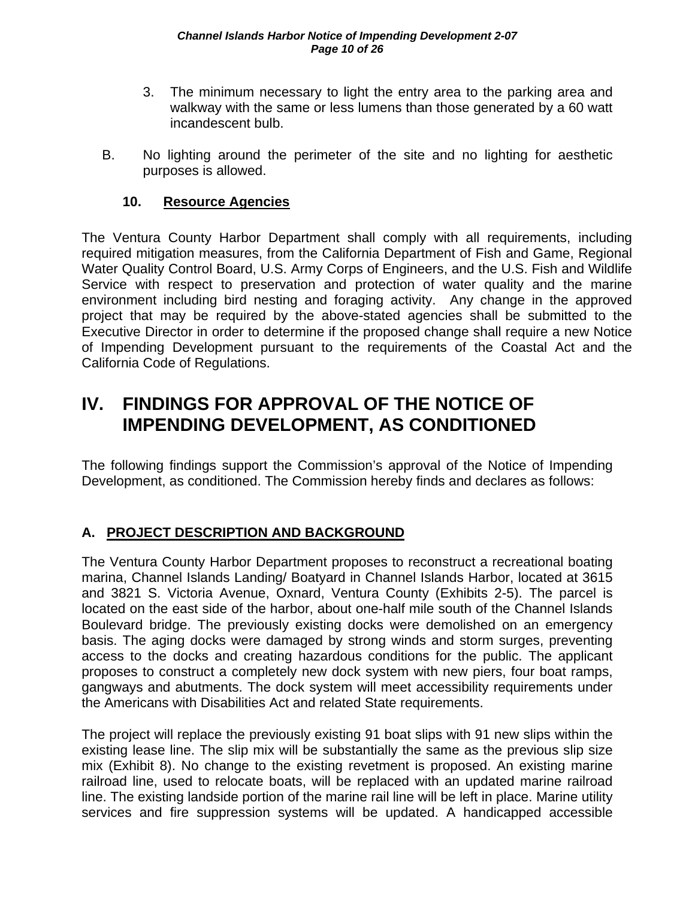- 3. The minimum necessary to light the entry area to the parking area and walkway with the same or less lumens than those generated by a 60 watt incandescent bulb.
- B. No lighting around the perimeter of the site and no lighting for aesthetic purposes is allowed.

#### **10. Resource Agencies**

The Ventura County Harbor Department shall comply with all requirements, including required mitigation measures, from the California Department of Fish and Game, Regional Water Quality Control Board, U.S. Army Corps of Engineers, and the U.S. Fish and Wildlife Service with respect to preservation and protection of water quality and the marine environment including bird nesting and foraging activity. Any change in the approved project that may be required by the above-stated agencies shall be submitted to the Executive Director in order to determine if the proposed change shall require a new Notice of Impending Development pursuant to the requirements of the Coastal Act and the California Code of Regulations.

## **IV. FINDINGS FOR APPROVAL OF THE NOTICE OF IMPENDING DEVELOPMENT, AS CONDITIONED**

The following findings support the Commission's approval of the Notice of Impending Development, as conditioned. The Commission hereby finds and declares as follows:

### **A. PROJECT DESCRIPTION AND BACKGROUND**

The Ventura County Harbor Department proposes to reconstruct a recreational boating marina, Channel Islands Landing/ Boatyard in Channel Islands Harbor, located at 3615 and 3821 S. Victoria Avenue, Oxnard, Ventura County (Exhibits 2-5). The parcel is located on the east side of the harbor, about one-half mile south of the Channel Islands Boulevard bridge. The previously existing docks were demolished on an emergency basis. The aging docks were damaged by strong winds and storm surges, preventing access to the docks and creating hazardous conditions for the public. The applicant proposes to construct a completely new dock system with new piers, four boat ramps, gangways and abutments. The dock system will meet accessibility requirements under the Americans with Disabilities Act and related State requirements.

The project will replace the previously existing 91 boat slips with 91 new slips within the existing lease line. The slip mix will be substantially the same as the previous slip size mix (Exhibit 8). No change to the existing revetment is proposed. An existing marine railroad line, used to relocate boats, will be replaced with an updated marine railroad line. The existing landside portion of the marine rail line will be left in place. Marine utility services and fire suppression systems will be updated. A handicapped accessible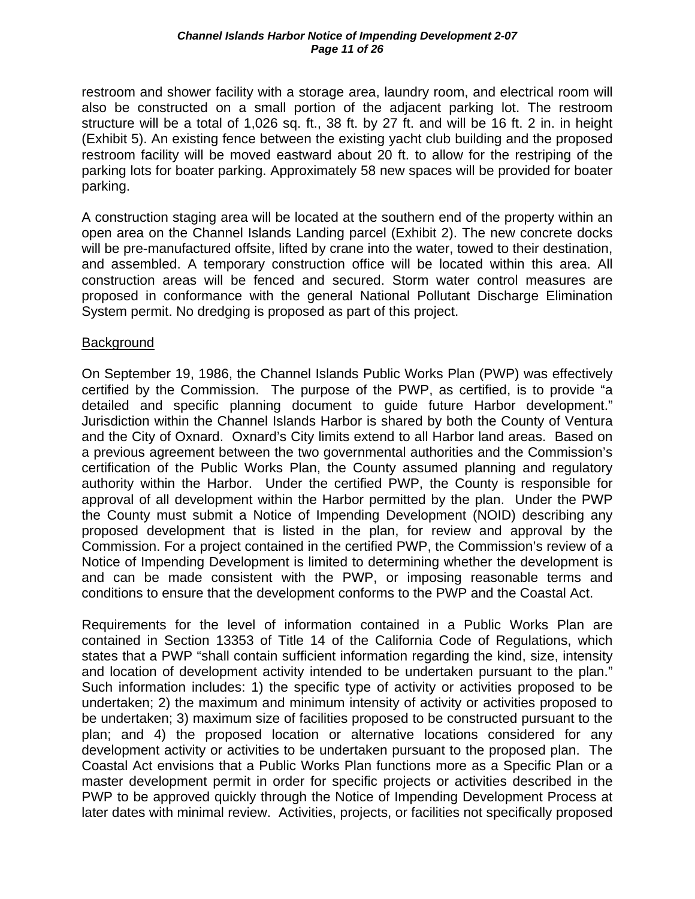restroom and shower facility with a storage area, laundry room, and electrical room will also be constructed on a small portion of the adjacent parking lot. The restroom structure will be a total of 1,026 sq. ft., 38 ft. by 27 ft. and will be 16 ft. 2 in. in height (Exhibit 5). An existing fence between the existing yacht club building and the proposed restroom facility will be moved eastward about 20 ft. to allow for the restriping of the parking lots for boater parking. Approximately 58 new spaces will be provided for boater parking.

A construction staging area will be located at the southern end of the property within an open area on the Channel Islands Landing parcel (Exhibit 2). The new concrete docks will be pre-manufactured offsite, lifted by crane into the water, towed to their destination, and assembled. A temporary construction office will be located within this area. All construction areas will be fenced and secured. Storm water control measures are proposed in conformance with the general National Pollutant Discharge Elimination System permit. No dredging is proposed as part of this project.

#### **Background**

On September 19, 1986, the Channel Islands Public Works Plan (PWP) was effectively certified by the Commission. The purpose of the PWP, as certified, is to provide "a detailed and specific planning document to guide future Harbor development." Jurisdiction within the Channel Islands Harbor is shared by both the County of Ventura and the City of Oxnard. Oxnard's City limits extend to all Harbor land areas. Based on a previous agreement between the two governmental authorities and the Commission's certification of the Public Works Plan, the County assumed planning and regulatory authority within the Harbor. Under the certified PWP, the County is responsible for approval of all development within the Harbor permitted by the plan. Under the PWP the County must submit a Notice of Impending Development (NOID) describing any proposed development that is listed in the plan, for review and approval by the Commission. For a project contained in the certified PWP, the Commission's review of a Notice of Impending Development is limited to determining whether the development is and can be made consistent with the PWP, or imposing reasonable terms and conditions to ensure that the development conforms to the PWP and the Coastal Act.

Requirements for the level of information contained in a Public Works Plan are contained in Section 13353 of Title 14 of the California Code of Regulations, which states that a PWP "shall contain sufficient information regarding the kind, size, intensity and location of development activity intended to be undertaken pursuant to the plan." Such information includes: 1) the specific type of activity or activities proposed to be undertaken; 2) the maximum and minimum intensity of activity or activities proposed to be undertaken; 3) maximum size of facilities proposed to be constructed pursuant to the plan; and 4) the proposed location or alternative locations considered for any development activity or activities to be undertaken pursuant to the proposed plan. The Coastal Act envisions that a Public Works Plan functions more as a Specific Plan or a master development permit in order for specific projects or activities described in the PWP to be approved quickly through the Notice of Impending Development Process at later dates with minimal review. Activities, projects, or facilities not specifically proposed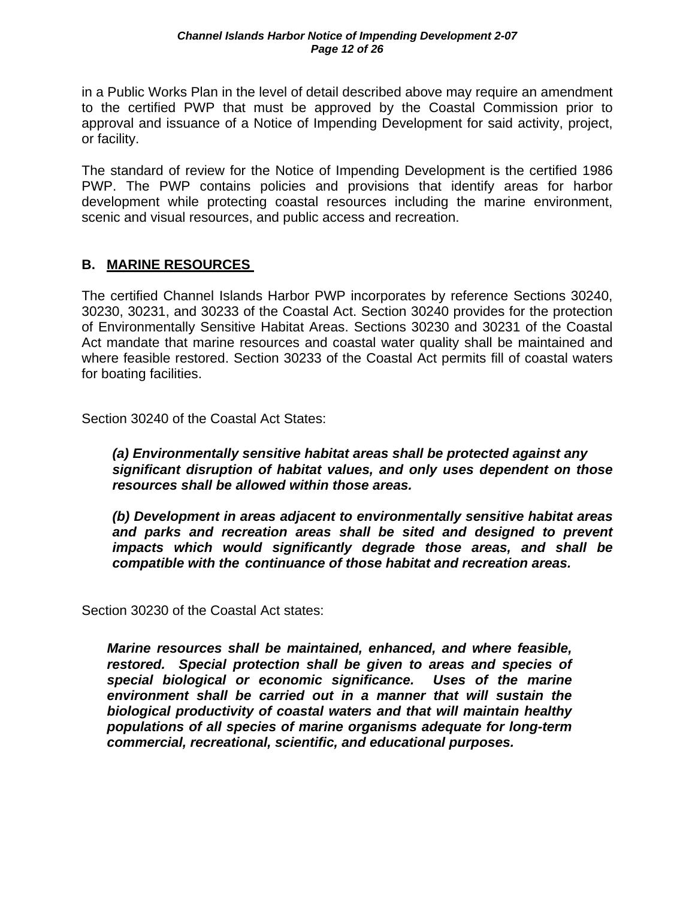in a Public Works Plan in the level of detail described above may require an amendment to the certified PWP that must be approved by the Coastal Commission prior to approval and issuance of a Notice of Impending Development for said activity, project, or facility.

The standard of review for the Notice of Impending Development is the certified 1986 PWP. The PWP contains policies and provisions that identify areas for harbor development while protecting coastal resources including the marine environment, scenic and visual resources, and public access and recreation.

#### **B. MARINE RESOURCES**

The certified Channel Islands Harbor PWP incorporates by reference Sections 30240, 30230, 30231, and 30233 of the Coastal Act. Section 30240 provides for the protection of Environmentally Sensitive Habitat Areas. Sections 30230 and 30231 of the Coastal Act mandate that marine resources and coastal water quality shall be maintained and where feasible restored. Section 30233 of the Coastal Act permits fill of coastal waters for boating facilities.

Section 30240 of the Coastal Act States:

*(a) Environmentally sensitive habitat areas shall be protected against any significant disruption of habitat values, and only uses dependent on those resources shall be allowed within those areas.* 

 *(b) Development in areas adjacent to environmentally sensitive habitat areas and parks and recreation areas shall be sited and designed to prevent impacts which would significantly degrade those areas, and shall be compatible with the continuance of those habitat and recreation areas.*

Section 30230 of the Coastal Act states:

*Marine resources shall be maintained, enhanced, and where feasible, restored. Special protection shall be given to areas and species of special biological or economic significance. Uses of the marine environment shall be carried out in a manner that will sustain the biological productivity of coastal waters and that will maintain healthy populations of all species of marine organisms adequate for long-term commercial, recreational, scientific, and educational purposes.*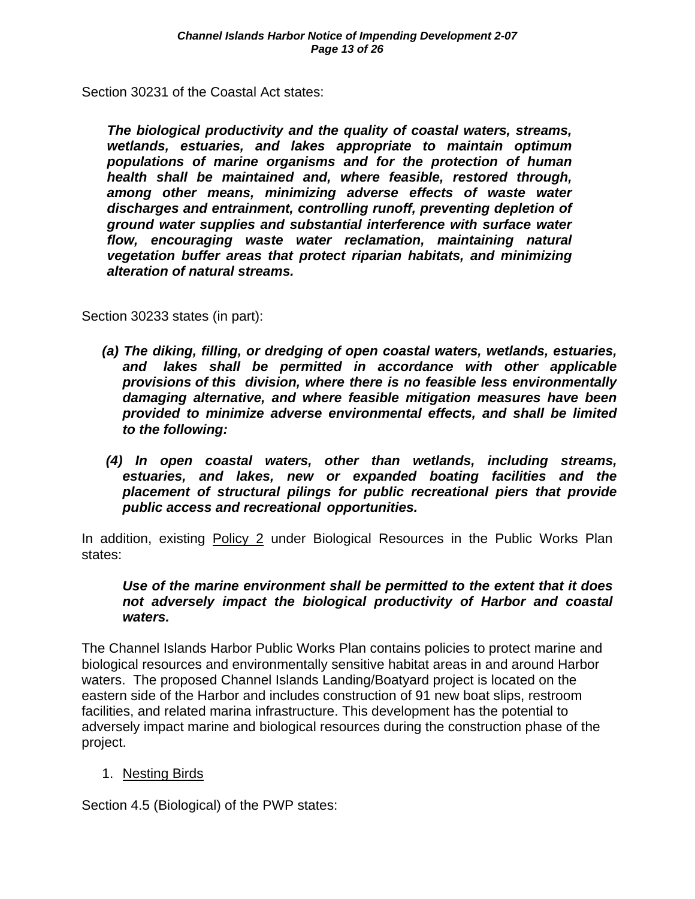Section 30231 of the Coastal Act states:

*The biological productivity and the quality of coastal waters, streams, wetlands, estuaries, and lakes appropriate to maintain optimum populations of marine organisms and for the protection of human health shall be maintained and, where feasible, restored through, among other means, minimizing adverse effects of waste water discharges and entrainment, controlling runoff, preventing depletion of ground water supplies and substantial interference with surface water flow, encouraging waste water reclamation, maintaining natural vegetation buffer areas that protect riparian habitats, and minimizing alteration of natural streams.* 

Section 30233 states (in part):

- *(a) The diking, filling, or dredging of open coastal waters, wetlands, estuaries, and lakes shall be permitted in accordance with other applicable provisions of this division, where there is no feasible less environmentally damaging alternative, and where feasible mitigation measures have been provided to minimize adverse environmental effects, and shall be limited to the following:*
- *(4) In open coastal waters, other than wetlands, including streams, estuaries, and lakes, new or expanded boating facilities and the placement of structural pilings for public recreational piers that provide public access and recreational opportunities.*

In addition, existing Policy 2 under Biological Resources in the Public Works Plan states:

#### *Use of the marine environment shall be permitted to the extent that it does not adversely impact the biological productivity of Harbor and coastal waters.*

The Channel Islands Harbor Public Works Plan contains policies to protect marine and biological resources and environmentally sensitive habitat areas in and around Harbor waters. The proposed Channel Islands Landing/Boatyard project is located on the eastern side of the Harbor and includes construction of 91 new boat slips, restroom facilities, and related marina infrastructure. This development has the potential to adversely impact marine and biological resources during the construction phase of the project.

#### 1. Nesting Birds

Section 4.5 (Biological) of the PWP states: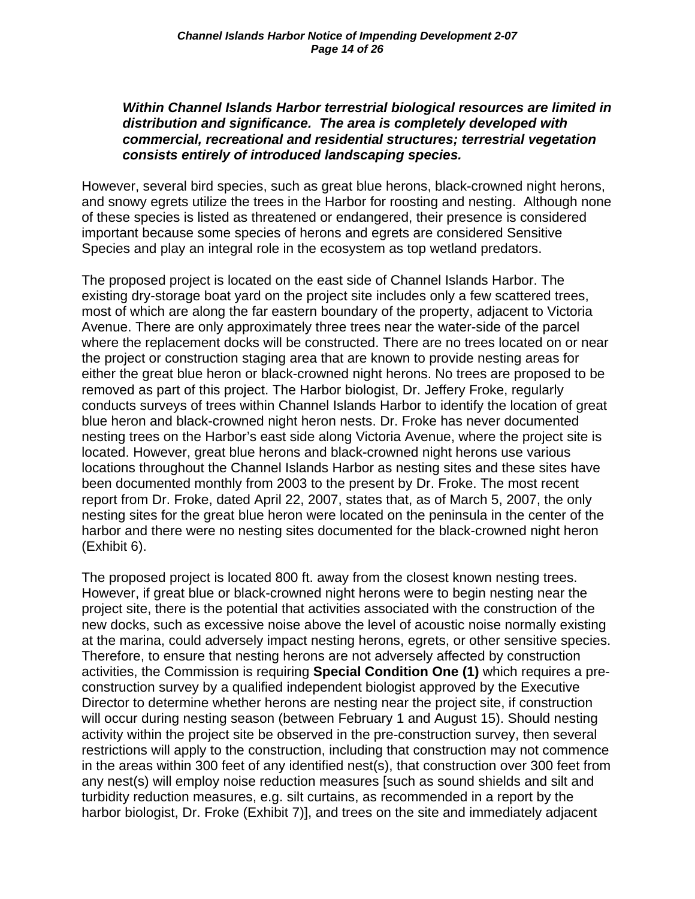#### *Within Channel Islands Harbor terrestrial biological resources are limited in distribution and significance. The area is completely developed with commercial, recreational and residential structures; terrestrial vegetation consists entirely of introduced landscaping species.*

However, several bird species, such as great blue herons, black-crowned night herons, and snowy egrets utilize the trees in the Harbor for roosting and nesting. Although none of these species is listed as threatened or endangered, their presence is considered important because some species of herons and egrets are considered Sensitive Species and play an integral role in the ecosystem as top wetland predators.

The proposed project is located on the east side of Channel Islands Harbor. The existing dry-storage boat yard on the project site includes only a few scattered trees, most of which are along the far eastern boundary of the property, adjacent to Victoria Avenue. There are only approximately three trees near the water-side of the parcel where the replacement docks will be constructed. There are no trees located on or near the project or construction staging area that are known to provide nesting areas for either the great blue heron or black-crowned night herons. No trees are proposed to be removed as part of this project. The Harbor biologist, Dr. Jeffery Froke, regularly conducts surveys of trees within Channel Islands Harbor to identify the location of great blue heron and black-crowned night heron nests. Dr. Froke has never documented nesting trees on the Harbor's east side along Victoria Avenue, where the project site is located. However, great blue herons and black-crowned night herons use various locations throughout the Channel Islands Harbor as nesting sites and these sites have been documented monthly from 2003 to the present by Dr. Froke. The most recent report from Dr. Froke, dated April 22, 2007, states that, as of March 5, 2007, the only nesting sites for the great blue heron were located on the peninsula in the center of the harbor and there were no nesting sites documented for the black-crowned night heron (Exhibit 6).

The proposed project is located 800 ft. away from the closest known nesting trees. However, if great blue or black-crowned night herons were to begin nesting near the project site, there is the potential that activities associated with the construction of the new docks, such as excessive noise above the level of acoustic noise normally existing at the marina, could adversely impact nesting herons, egrets, or other sensitive species. Therefore, to ensure that nesting herons are not adversely affected by construction activities, the Commission is requiring **Special Condition One (1)** which requires a preconstruction survey by a qualified independent biologist approved by the Executive Director to determine whether herons are nesting near the project site, if construction will occur during nesting season (between February 1 and August 15). Should nesting activity within the project site be observed in the pre-construction survey, then several restrictions will apply to the construction, including that construction may not commence in the areas within 300 feet of any identified nest(s), that construction over 300 feet from any nest(s) will employ noise reduction measures [such as sound shields and silt and turbidity reduction measures, e.g. silt curtains, as recommended in a report by the harbor biologist, Dr. Froke (Exhibit 7)], and trees on the site and immediately adjacent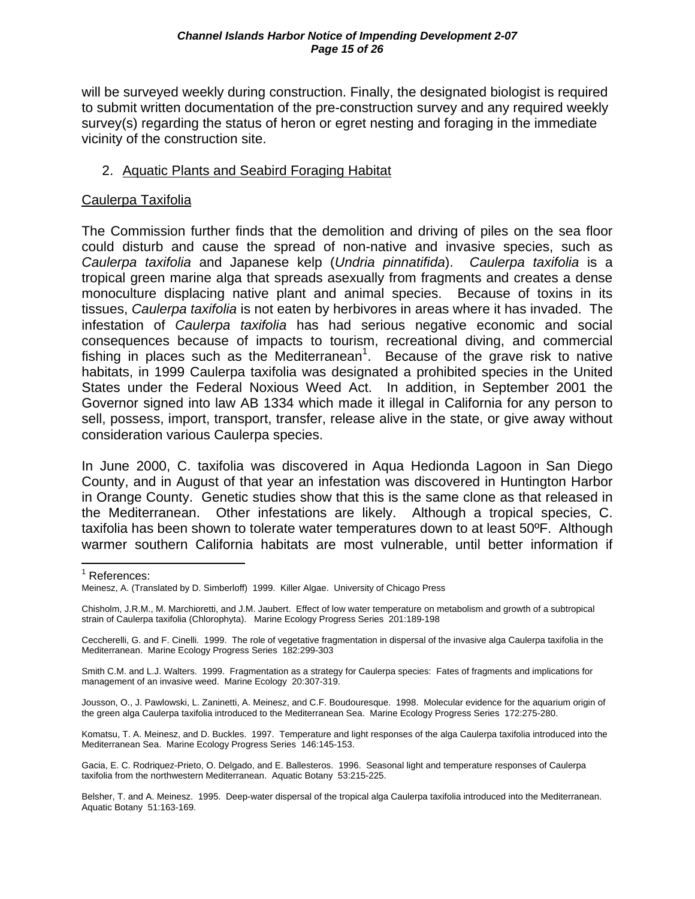will be surveyed weekly during construction. Finally, the designated biologist is required to submit written documentation of the pre-construction survey and any required weekly survey(s) regarding the status of heron or egret nesting and foraging in the immediate vicinity of the construction site.

#### 2. Aquatic Plants and Seabird Foraging Habitat

#### Caulerpa Taxifolia

The Commission further finds that the demolition and driving of piles on the sea floor could disturb and cause the spread of non-native and invasive species, such as *Caulerpa taxifolia* and Japanese kelp (*Undria pinnatifida*). *Caulerpa taxifolia* is a tropical green marine alga that spreads asexually from fragments and creates a dense monoculture displacing native plant and animal species. Because of toxins in its tissues, *Caulerpa taxifolia* is not eaten by herbivores in areas where it has invaded. The infestation of *Caulerpa taxifolia* has had serious negative economic and social consequences because of impacts to tourism, recreational diving, and commercial fishing in places such as the Mediterranean<sup>1</sup>. Because of the grave risk to native habitats, in 1999 Caulerpa taxifolia was designated a prohibited species in the United States under the Federal Noxious Weed Act. In addition, in September 2001 the Governor signed into law AB 1334 which made it illegal in California for any person to sell, possess, import, transport, transfer, release alive in the state, or give away without consideration various Caulerpa species.

In June 2000, C. taxifolia was discovered in Aqua Hedionda Lagoon in San Diego County, and in August of that year an infestation was discovered in Huntington Harbor in Orange County. Genetic studies show that this is the same clone as that released in the Mediterranean. Other infestations are likely. Although a tropical species, C. taxifolia has been shown to tolerate water temperatures down to at least 50ºF. Although warmer southern California habitats are most vulnerable, until better information if

Smith C.M. and L.J. Walters. 1999. Fragmentation as a strategy for Caulerpa species: Fates of fragments and implications for management of an invasive weed. Marine Ecology 20:307-319.

Jousson, O., J. Pawlowski, L. Zaninetti, A. Meinesz, and C.F. Boudouresque. 1998. Molecular evidence for the aquarium origin of the green alga Caulerpa taxifolia introduced to the Mediterranean Sea. Marine Ecology Progress Series 172:275-280.

Komatsu, T. A. Meinesz, and D. Buckles. 1997. Temperature and light responses of the alga Caulerpa taxifolia introduced into the Mediterranean Sea. Marine Ecology Progress Series 146:145-153.

Gacia, E. C. Rodriquez-Prieto, O. Delgado, and E. Ballesteros. 1996. Seasonal light and temperature responses of Caulerpa taxifolia from the northwestern Mediterranean. Aquatic Botany 53:215-225.

Belsher, T. and A. Meinesz. 1995. Deep-water dispersal of the tropical alga Caulerpa taxifolia introduced into the Mediterranean. Aquatic Botany 51:163-169.

 $\overline{a}$ <sup>1</sup> References:

Meinesz, A. (Translated by D. Simberloff) 1999. Killer Algae. University of Chicago Press

Chisholm, J.R.M., M. Marchioretti, and J.M. Jaubert. Effect of low water temperature on metabolism and growth of a subtropical strain of Caulerpa taxifolia (Chlorophyta). Marine Ecology Progress Series 201:189-198

Ceccherelli, G. and F. Cinelli. 1999. The role of vegetative fragmentation in dispersal of the invasive alga Caulerpa taxifolia in the Mediterranean. Marine Ecology Progress Series 182:299-303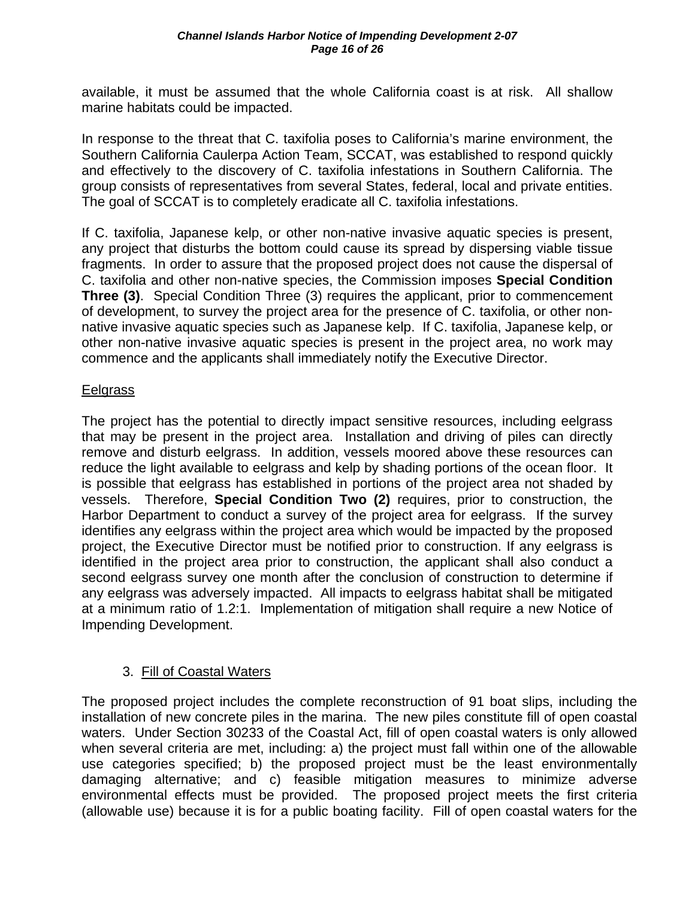available, it must be assumed that the whole California coast is at risk. All shallow marine habitats could be impacted.

In response to the threat that C. taxifolia poses to California's marine environment, the Southern California Caulerpa Action Team, SCCAT, was established to respond quickly and effectively to the discovery of C. taxifolia infestations in Southern California. The group consists of representatives from several States, federal, local and private entities. The goal of SCCAT is to completely eradicate all C. taxifolia infestations.

If C. taxifolia, Japanese kelp, or other non-native invasive aquatic species is present, any project that disturbs the bottom could cause its spread by dispersing viable tissue fragments. In order to assure that the proposed project does not cause the dispersal of C. taxifolia and other non-native species, the Commission imposes **Special Condition Three (3)**. Special Condition Three (3) requires the applicant, prior to commencement of development, to survey the project area for the presence of C. taxifolia, or other nonnative invasive aquatic species such as Japanese kelp. If C. taxifolia, Japanese kelp, or other non-native invasive aquatic species is present in the project area, no work may commence and the applicants shall immediately notify the Executive Director.

#### Eelgrass

The project has the potential to directly impact sensitive resources, including eelgrass that may be present in the project area. Installation and driving of piles can directly remove and disturb eelgrass. In addition, vessels moored above these resources can reduce the light available to eelgrass and kelp by shading portions of the ocean floor. It is possible that eelgrass has established in portions of the project area not shaded by vessels. Therefore, **Special Condition Two (2)** requires, prior to construction, the Harbor Department to conduct a survey of the project area for eelgrass. If the survey identifies any eelgrass within the project area which would be impacted by the proposed project, the Executive Director must be notified prior to construction. If any eelgrass is identified in the project area prior to construction, the applicant shall also conduct a second eelgrass survey one month after the conclusion of construction to determine if any eelgrass was adversely impacted. All impacts to eelgrass habitat shall be mitigated at a minimum ratio of 1.2:1. Implementation of mitigation shall require a new Notice of Impending Development.

#### 3. Fill of Coastal Waters

The proposed project includes the complete reconstruction of 91 boat slips, including the installation of new concrete piles in the marina. The new piles constitute fill of open coastal waters. Under Section 30233 of the Coastal Act, fill of open coastal waters is only allowed when several criteria are met, including: a) the project must fall within one of the allowable use categories specified; b) the proposed project must be the least environmentally damaging alternative; and c) feasible mitigation measures to minimize adverse environmental effects must be provided. The proposed project meets the first criteria (allowable use) because it is for a public boating facility. Fill of open coastal waters for the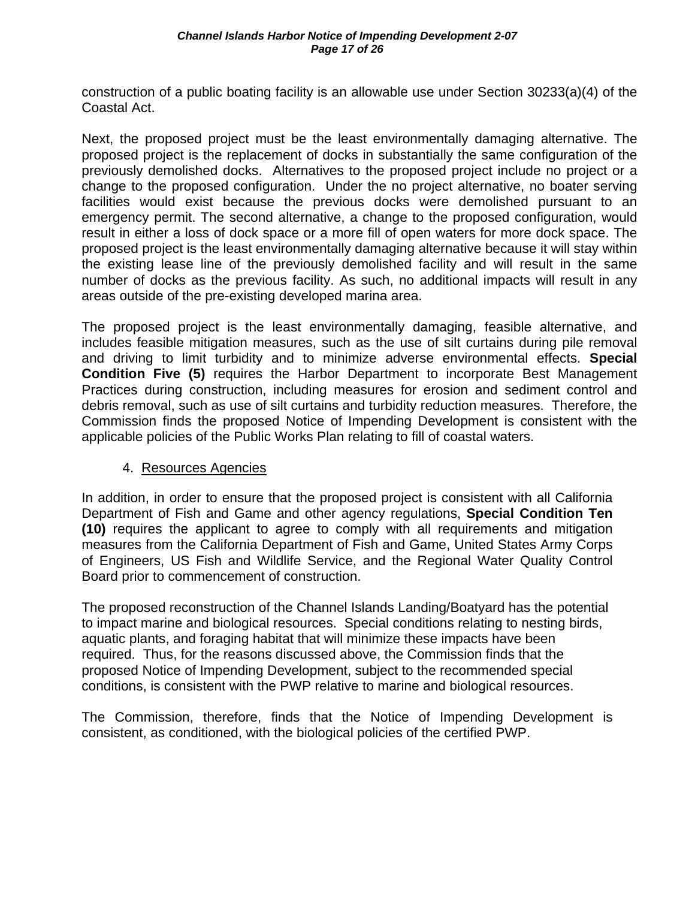construction of a public boating facility is an allowable use under Section 30233(a)(4) of the Coastal Act.

Next, the proposed project must be the least environmentally damaging alternative. The proposed project is the replacement of docks in substantially the same configuration of the previously demolished docks. Alternatives to the proposed project include no project or a change to the proposed configuration. Under the no project alternative, no boater serving facilities would exist because the previous docks were demolished pursuant to an emergency permit. The second alternative, a change to the proposed configuration, would result in either a loss of dock space or a more fill of open waters for more dock space. The proposed project is the least environmentally damaging alternative because it will stay within the existing lease line of the previously demolished facility and will result in the same number of docks as the previous facility. As such, no additional impacts will result in any areas outside of the pre-existing developed marina area.

The proposed project is the least environmentally damaging, feasible alternative, and includes feasible mitigation measures, such as the use of silt curtains during pile removal and driving to limit turbidity and to minimize adverse environmental effects. **Special Condition Five (5)** requires the Harbor Department to incorporate Best Management Practices during construction, including measures for erosion and sediment control and debris removal, such as use of silt curtains and turbidity reduction measures. Therefore, the Commission finds the proposed Notice of Impending Development is consistent with the applicable policies of the Public Works Plan relating to fill of coastal waters.

#### 4. Resources Agencies

In addition, in order to ensure that the proposed project is consistent with all California Department of Fish and Game and other agency regulations, **Special Condition Ten (10)** requires the applicant to agree to comply with all requirements and mitigation measures from the California Department of Fish and Game, United States Army Corps of Engineers, US Fish and Wildlife Service, and the Regional Water Quality Control Board prior to commencement of construction.

The proposed reconstruction of the Channel Islands Landing/Boatyard has the potential to impact marine and biological resources. Special conditions relating to nesting birds, aquatic plants, and foraging habitat that will minimize these impacts have been required. Thus, for the reasons discussed above, the Commission finds that the proposed Notice of Impending Development, subject to the recommended special conditions, is consistent with the PWP relative to marine and biological resources.

The Commission, therefore, finds that the Notice of Impending Development is consistent, as conditioned, with the biological policies of the certified PWP.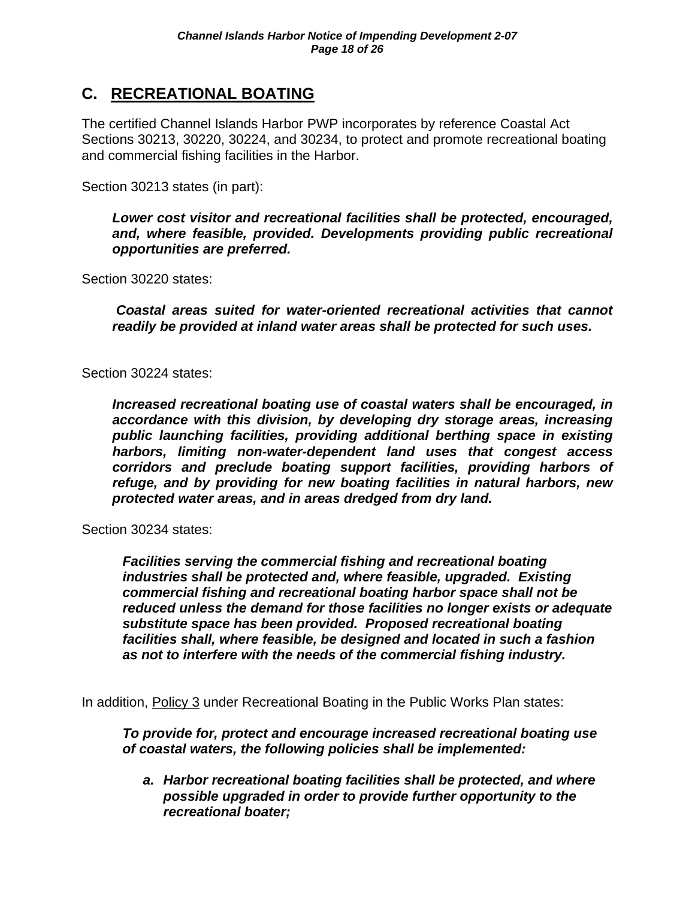## **C. RECREATIONAL BOATING**

The certified Channel Islands Harbor PWP incorporates by reference Coastal Act Sections 30213, 30220, 30224, and 30234, to protect and promote recreational boating and commercial fishing facilities in the Harbor.

Section 30213 states (in part):

*Lower cost visitor and recreational facilities shall be protected, encouraged, and, where feasible, provided. Developments providing public recreational opportunities are preferred.* 

Section 30220 states:

*Coastal areas suited for water-oriented recreational activities that cannot readily be provided at inland water areas shall be protected for such uses.* 

Section 30224 states:

*Increased recreational boating use of coastal waters shall be encouraged, in accordance with this division, by developing dry storage areas, increasing public launching facilities, providing additional berthing space in existing harbors, limiting non-water-dependent land uses that congest access corridors and preclude boating support facilities, providing harbors of refuge, and by providing for new boating facilities in natural harbors, new protected water areas, and in areas dredged from dry land.* 

Section 30234 states:

*Facilities serving the commercial fishing and recreational boating industries shall be protected and, where feasible, upgraded. Existing commercial fishing and recreational boating harbor space shall not be reduced unless the demand for those facilities no longer exists or adequate substitute space has been provided. Proposed recreational boating facilities shall, where feasible, be designed and located in such a fashion as not to interfere with the needs of the commercial fishing industry.* 

In addition, Policy 3 under Recreational Boating in the Public Works Plan states:

*To provide for, protect and encourage increased recreational boating use of coastal waters, the following policies shall be implemented:* 

*a. Harbor recreational boating facilities shall be protected, and where possible upgraded in order to provide further opportunity to the recreational boater;*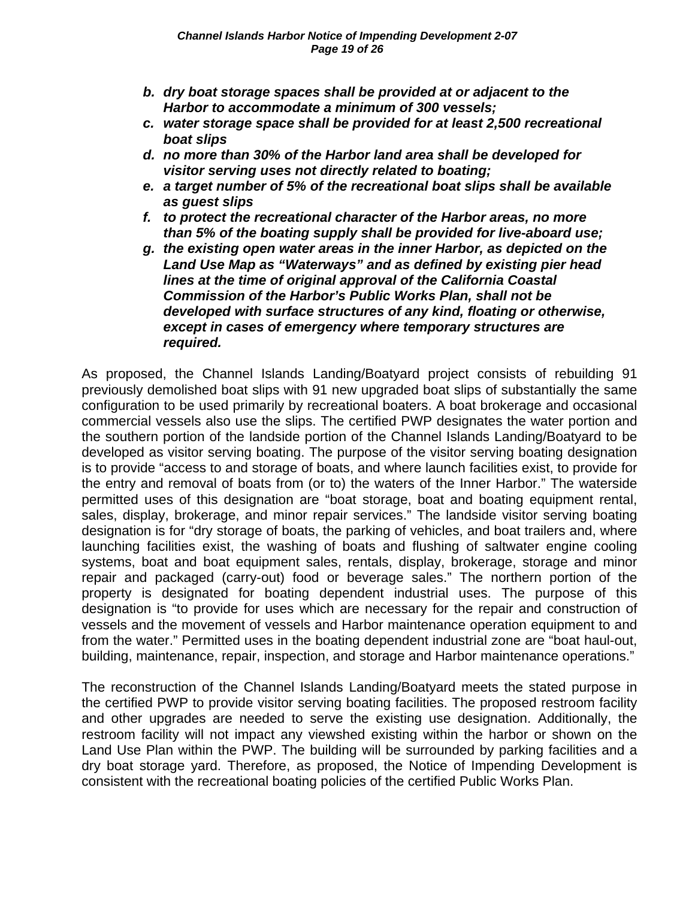- *b. dry boat storage spaces shall be provided at or adjacent to the Harbor to accommodate a minimum of 300 vessels;*
- *c. water storage space shall be provided for at least 2,500 recreational boat slips*
- *d. no more than 30% of the Harbor land area shall be developed for visitor serving uses not directly related to boating;*
- *e. a target number of 5% of the recreational boat slips shall be available as guest slips*
- *f. to protect the recreational character of the Harbor areas, no more than 5% of the boating supply shall be provided for live-aboard use;*
- *g. the existing open water areas in the inner Harbor, as depicted on the Land Use Map as "Waterways" and as defined by existing pier head lines at the time of original approval of the California Coastal Commission of the Harbor's Public Works Plan, shall not be developed with surface structures of any kind, floating or otherwise, except in cases of emergency where temporary structures are required.*

As proposed, the Channel Islands Landing/Boatyard project consists of rebuilding 91 previously demolished boat slips with 91 new upgraded boat slips of substantially the same configuration to be used primarily by recreational boaters. A boat brokerage and occasional commercial vessels also use the slips. The certified PWP designates the water portion and the southern portion of the landside portion of the Channel Islands Landing/Boatyard to be developed as visitor serving boating. The purpose of the visitor serving boating designation is to provide "access to and storage of boats, and where launch facilities exist, to provide for the entry and removal of boats from (or to) the waters of the Inner Harbor." The waterside permitted uses of this designation are "boat storage, boat and boating equipment rental, sales, display, brokerage, and minor repair services." The landside visitor serving boating designation is for "dry storage of boats, the parking of vehicles, and boat trailers and, where launching facilities exist, the washing of boats and flushing of saltwater engine cooling systems, boat and boat equipment sales, rentals, display, brokerage, storage and minor repair and packaged (carry-out) food or beverage sales." The northern portion of the property is designated for boating dependent industrial uses. The purpose of this designation is "to provide for uses which are necessary for the repair and construction of vessels and the movement of vessels and Harbor maintenance operation equipment to and from the water." Permitted uses in the boating dependent industrial zone are "boat haul-out, building, maintenance, repair, inspection, and storage and Harbor maintenance operations."

The reconstruction of the Channel Islands Landing/Boatyard meets the stated purpose in the certified PWP to provide visitor serving boating facilities. The proposed restroom facility and other upgrades are needed to serve the existing use designation. Additionally, the restroom facility will not impact any viewshed existing within the harbor or shown on the Land Use Plan within the PWP. The building will be surrounded by parking facilities and a dry boat storage yard. Therefore, as proposed, the Notice of Impending Development is consistent with the recreational boating policies of the certified Public Works Plan.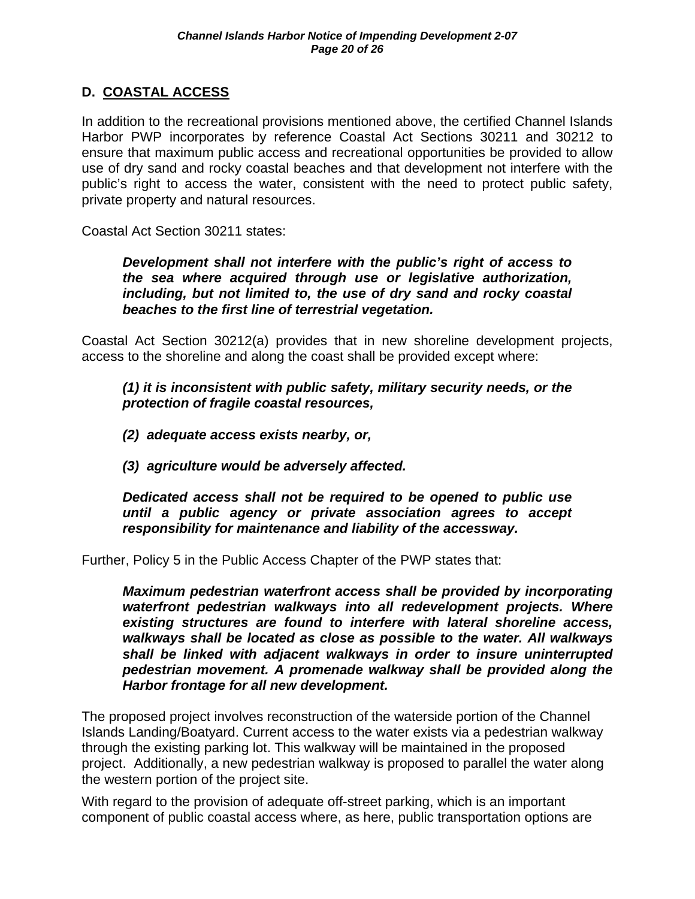#### **D. COASTAL ACCESS**

In addition to the recreational provisions mentioned above, the certified Channel Islands Harbor PWP incorporates by reference Coastal Act Sections 30211 and 30212 to ensure that maximum public access and recreational opportunities be provided to allow use of dry sand and rocky coastal beaches and that development not interfere with the public's right to access the water, consistent with the need to protect public safety, private property and natural resources.

Coastal Act Section 30211 states:

*Development shall not interfere with the public's right of access to the sea where acquired through use or legislative authorization, including, but not limited to, the use of dry sand and rocky coastal beaches to the first line of terrestrial vegetation.* 

Coastal Act Section 30212(a) provides that in new shoreline development projects, access to the shoreline and along the coast shall be provided except where:

*(1) it is inconsistent with public safety, military security needs, or the protection of fragile coastal resources,* 

- *(2) adequate access exists nearby, or,*
- *(3) agriculture would be adversely affected.*

*Dedicated access shall not be required to be opened to public use until a public agency or private association agrees to accept responsibility for maintenance and liability of the accessway.* 

Further, Policy 5 in the Public Access Chapter of the PWP states that:

*Maximum pedestrian waterfront access shall be provided by incorporating waterfront pedestrian walkways into all redevelopment projects. Where existing structures are found to interfere with lateral shoreline access, walkways shall be located as close as possible to the water. All walkways shall be linked with adjacent walkways in order to insure uninterrupted pedestrian movement. A promenade walkway shall be provided along the Harbor frontage for all new development.* 

The proposed project involves reconstruction of the waterside portion of the Channel Islands Landing/Boatyard. Current access to the water exists via a pedestrian walkway through the existing parking lot. This walkway will be maintained in the proposed project. Additionally, a new pedestrian walkway is proposed to parallel the water along the western portion of the project site.

With regard to the provision of adequate off-street parking, which is an important component of public coastal access where, as here, public transportation options are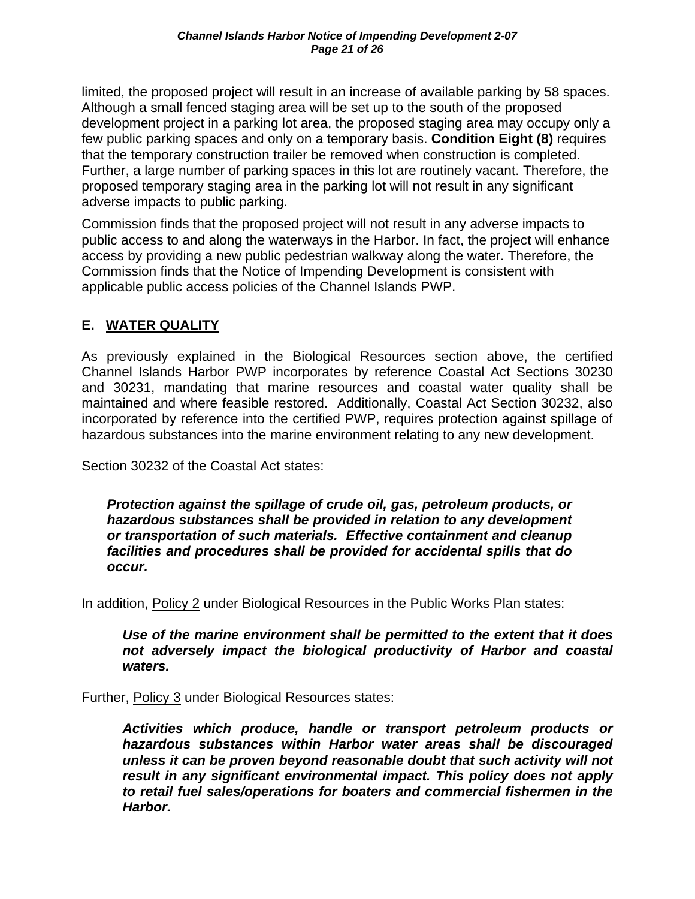limited, the proposed project will result in an increase of available parking by 58 spaces. Although a small fenced staging area will be set up to the south of the proposed development project in a parking lot area, the proposed staging area may occupy only a few public parking spaces and only on a temporary basis. **Condition Eight (8)** requires that the temporary construction trailer be removed when construction is completed. Further, a large number of parking spaces in this lot are routinely vacant. Therefore, the proposed temporary staging area in the parking lot will not result in any significant adverse impacts to public parking.

Commission finds that the proposed project will not result in any adverse impacts to public access to and along the waterways in the Harbor. In fact, the project will enhance access by providing a new public pedestrian walkway along the water. Therefore, the Commission finds that the Notice of Impending Development is consistent with applicable public access policies of the Channel Islands PWP.

#### **E. WATER QUALITY**

As previously explained in the Biological Resources section above, the certified Channel Islands Harbor PWP incorporates by reference Coastal Act Sections 30230 and 30231, mandating that marine resources and coastal water quality shall be maintained and where feasible restored. Additionally, Coastal Act Section 30232, also incorporated by reference into the certified PWP, requires protection against spillage of hazardous substances into the marine environment relating to any new development.

Section 30232 of the Coastal Act states:

*Protection against the spillage of crude oil, gas, petroleum products, or hazardous substances shall be provided in relation to any development or transportation of such materials. Effective containment and cleanup facilities and procedures shall be provided for accidental spills that do occur.* 

In addition, Policy 2 under Biological Resources in the Public Works Plan states:

*Use of the marine environment shall be permitted to the extent that it does not adversely impact the biological productivity of Harbor and coastal waters.* 

Further, Policy 3 under Biological Resources states:

*Activities which produce, handle or transport petroleum products or hazardous substances within Harbor water areas shall be discouraged unless it can be proven beyond reasonable doubt that such activity will not result in any significant environmental impact. This policy does not apply to retail fuel sales/operations for boaters and commercial fishermen in the Harbor.*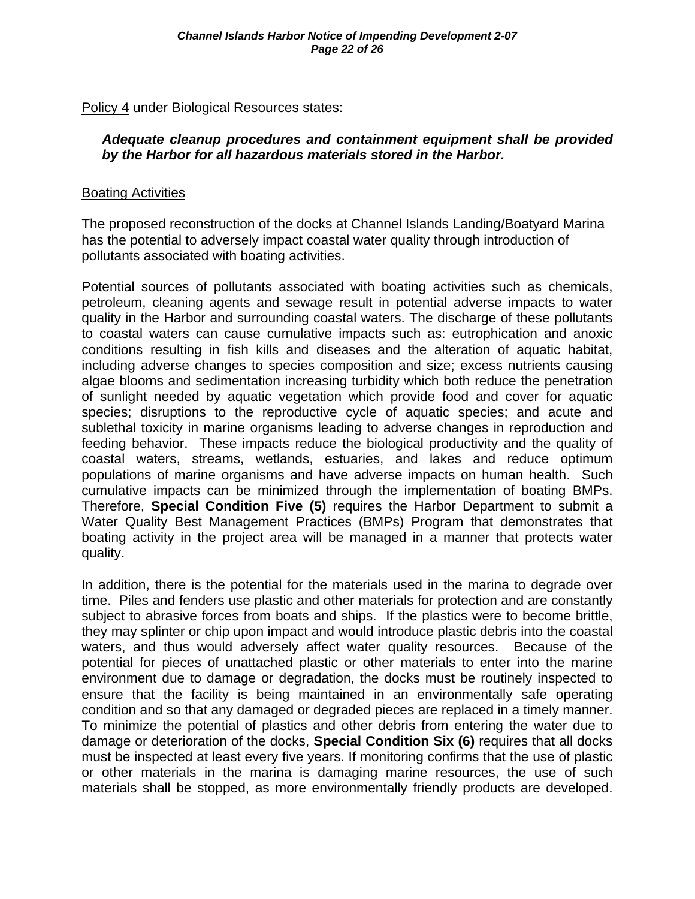Policy 4 under Biological Resources states:

#### *Adequate cleanup procedures and containment equipment shall be provided by the Harbor for all hazardous materials stored in the Harbor.*

#### Boating Activities

The proposed reconstruction of the docks at Channel Islands Landing/Boatyard Marina has the potential to adversely impact coastal water quality through introduction of pollutants associated with boating activities.

Potential sources of pollutants associated with boating activities such as chemicals, petroleum, cleaning agents and sewage result in potential adverse impacts to water quality in the Harbor and surrounding coastal waters. The discharge of these pollutants to coastal waters can cause cumulative impacts such as: eutrophication and anoxic conditions resulting in fish kills and diseases and the alteration of aquatic habitat, including adverse changes to species composition and size; excess nutrients causing algae blooms and sedimentation increasing turbidity which both reduce the penetration of sunlight needed by aquatic vegetation which provide food and cover for aquatic species; disruptions to the reproductive cycle of aquatic species; and acute and sublethal toxicity in marine organisms leading to adverse changes in reproduction and feeding behavior. These impacts reduce the biological productivity and the quality of coastal waters, streams, wetlands, estuaries, and lakes and reduce optimum populations of marine organisms and have adverse impacts on human health. Such cumulative impacts can be minimized through the implementation of boating BMPs. Therefore, **Special Condition Five (5)** requires the Harbor Department to submit a Water Quality Best Management Practices (BMPs) Program that demonstrates that boating activity in the project area will be managed in a manner that protects water quality.

In addition, there is the potential for the materials used in the marina to degrade over time. Piles and fenders use plastic and other materials for protection and are constantly subject to abrasive forces from boats and ships. If the plastics were to become brittle, they may splinter or chip upon impact and would introduce plastic debris into the coastal waters, and thus would adversely affect water quality resources. Because of the potential for pieces of unattached plastic or other materials to enter into the marine environment due to damage or degradation, the docks must be routinely inspected to ensure that the facility is being maintained in an environmentally safe operating condition and so that any damaged or degraded pieces are replaced in a timely manner. To minimize the potential of plastics and other debris from entering the water due to damage or deterioration of the docks, **Special Condition Six (6)** requires that all docks must be inspected at least every five years. If monitoring confirms that the use of plastic or other materials in the marina is damaging marine resources, the use of such materials shall be stopped, as more environmentally friendly products are developed.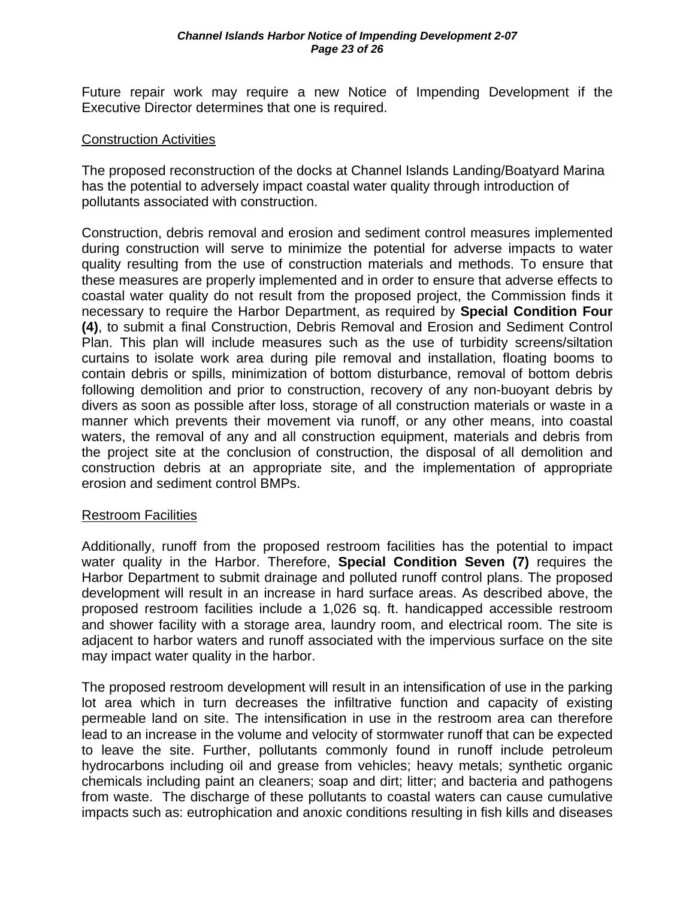Future repair work may require a new Notice of Impending Development if the Executive Director determines that one is required.

#### Construction Activities

The proposed reconstruction of the docks at Channel Islands Landing/Boatyard Marina has the potential to adversely impact coastal water quality through introduction of pollutants associated with construction.

Construction, debris removal and erosion and sediment control measures implemented during construction will serve to minimize the potential for adverse impacts to water quality resulting from the use of construction materials and methods. To ensure that these measures are properly implemented and in order to ensure that adverse effects to coastal water quality do not result from the proposed project, the Commission finds it necessary to require the Harbor Department, as required by **Special Condition Four (4)**, to submit a final Construction, Debris Removal and Erosion and Sediment Control Plan. This plan will include measures such as the use of turbidity screens/siltation curtains to isolate work area during pile removal and installation, floating booms to contain debris or spills, minimization of bottom disturbance, removal of bottom debris following demolition and prior to construction, recovery of any non-buoyant debris by divers as soon as possible after loss, storage of all construction materials or waste in a manner which prevents their movement via runoff, or any other means, into coastal waters, the removal of any and all construction equipment, materials and debris from the project site at the conclusion of construction, the disposal of all demolition and construction debris at an appropriate site, and the implementation of appropriate erosion and sediment control BMPs.

#### Restroom Facilities

Additionally, runoff from the proposed restroom facilities has the potential to impact water quality in the Harbor. Therefore, **Special Condition Seven (7)** requires the Harbor Department to submit drainage and polluted runoff control plans. The proposed development will result in an increase in hard surface areas. As described above, the proposed restroom facilities include a 1,026 sq. ft. handicapped accessible restroom and shower facility with a storage area, laundry room, and electrical room. The site is adjacent to harbor waters and runoff associated with the impervious surface on the site may impact water quality in the harbor.

The proposed restroom development will result in an intensification of use in the parking lot area which in turn decreases the infiltrative function and capacity of existing permeable land on site. The intensification in use in the restroom area can therefore lead to an increase in the volume and velocity of stormwater runoff that can be expected to leave the site. Further, pollutants commonly found in runoff include petroleum hydrocarbons including oil and grease from vehicles; heavy metals; synthetic organic chemicals including paint an cleaners; soap and dirt; litter; and bacteria and pathogens from waste. The discharge of these pollutants to coastal waters can cause cumulative impacts such as: eutrophication and anoxic conditions resulting in fish kills and diseases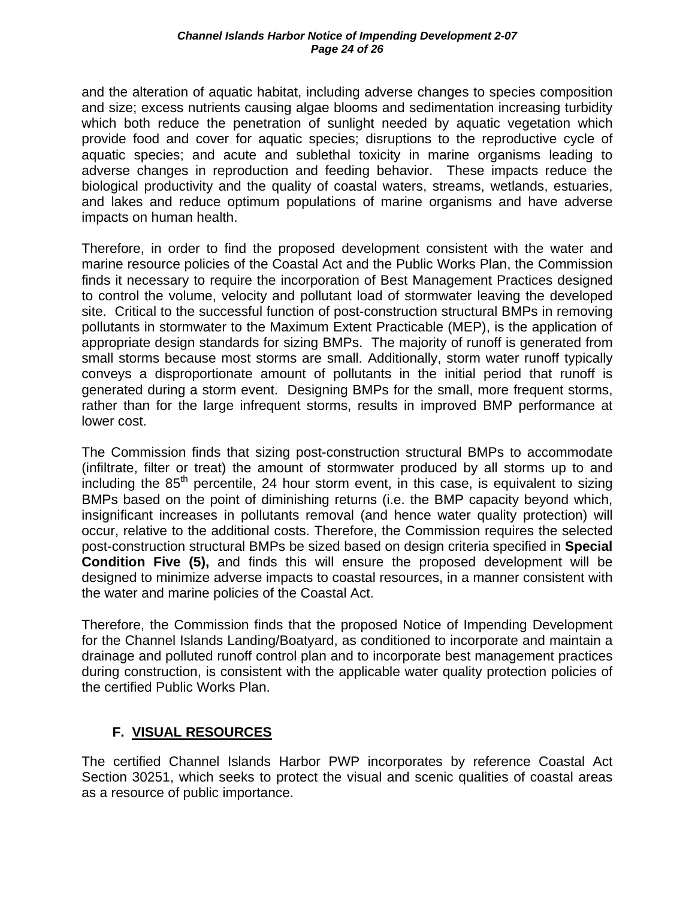and the alteration of aquatic habitat, including adverse changes to species composition and size; excess nutrients causing algae blooms and sedimentation increasing turbidity which both reduce the penetration of sunlight needed by aquatic vegetation which provide food and cover for aquatic species; disruptions to the reproductive cycle of aquatic species; and acute and sublethal toxicity in marine organisms leading to adverse changes in reproduction and feeding behavior. These impacts reduce the biological productivity and the quality of coastal waters, streams, wetlands, estuaries, and lakes and reduce optimum populations of marine organisms and have adverse impacts on human health.

Therefore, in order to find the proposed development consistent with the water and marine resource policies of the Coastal Act and the Public Works Plan, the Commission finds it necessary to require the incorporation of Best Management Practices designed to control the volume, velocity and pollutant load of stormwater leaving the developed site. Critical to the successful function of post-construction structural BMPs in removing pollutants in stormwater to the Maximum Extent Practicable (MEP), is the application of appropriate design standards for sizing BMPs. The majority of runoff is generated from small storms because most storms are small. Additionally, storm water runoff typically conveys a disproportionate amount of pollutants in the initial period that runoff is generated during a storm event. Designing BMPs for the small, more frequent storms, rather than for the large infrequent storms, results in improved BMP performance at lower cost.

The Commission finds that sizing post-construction structural BMPs to accommodate (infiltrate, filter or treat) the amount of stormwater produced by all storms up to and including the  $85<sup>th</sup>$  percentile, 24 hour storm event, in this case, is equivalent to sizing BMPs based on the point of diminishing returns (i.e. the BMP capacity beyond which, insignificant increases in pollutants removal (and hence water quality protection) will occur, relative to the additional costs. Therefore, the Commission requires the selected post-construction structural BMPs be sized based on design criteria specified in **Special Condition Five (5),** and finds this will ensure the proposed development will be designed to minimize adverse impacts to coastal resources, in a manner consistent with the water and marine policies of the Coastal Act.

Therefore, the Commission finds that the proposed Notice of Impending Development for the Channel Islands Landing/Boatyard, as conditioned to incorporate and maintain a drainage and polluted runoff control plan and to incorporate best management practices during construction, is consistent with the applicable water quality protection policies of the certified Public Works Plan.

#### **F. VISUAL RESOURCES**

The certified Channel Islands Harbor PWP incorporates by reference Coastal Act Section 30251, which seeks to protect the visual and scenic qualities of coastal areas as a resource of public importance.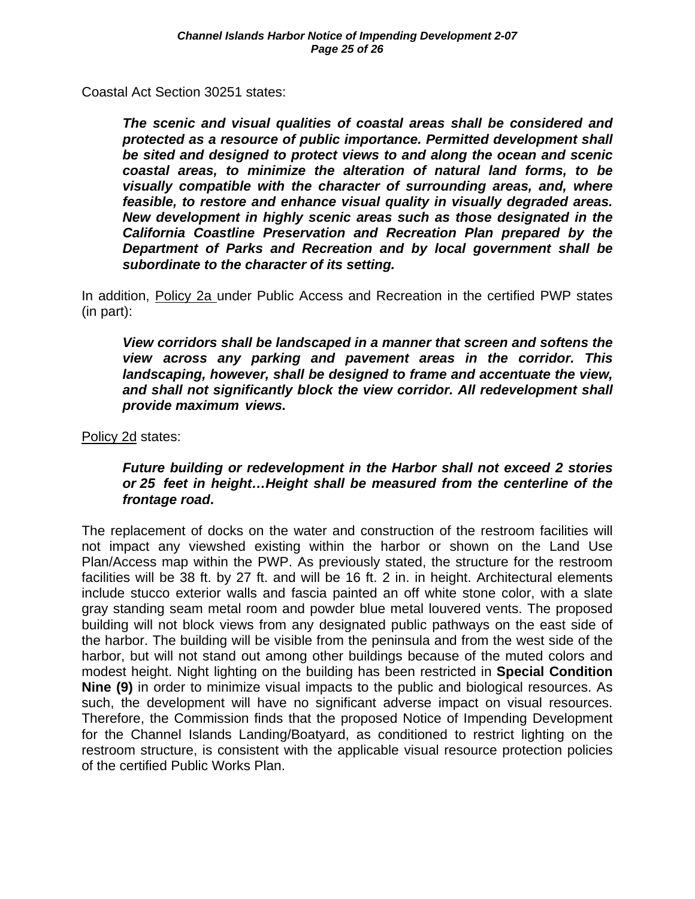Coastal Act Section 30251 states:

*The scenic and visual qualities of coastal areas shall be considered and protected as a resource of public importance. Permitted development shall be sited and designed to protect views to and along the ocean and scenic coastal areas, to minimize the alteration of natural land forms, to be visually compatible with the character of surrounding areas, and, where feasible, to restore and enhance visual quality in visually degraded areas. New development in highly scenic areas such as those designated in the California Coastline Preservation and Recreation Plan prepared by the Department of Parks and Recreation and by local government shall be subordinate to the character of its setting.* 

In addition, Policy 2a under Public Access and Recreation in the certified PWP states (in part):

*View corridors shall be landscaped in a manner that screen and softens the view across any parking and pavement areas in the corridor. This landscaping, however, shall be designed to frame and accentuate the view,*  and shall not significantly block the view corridor. All redevelopment shall  *provide maximum views.* 

Policy 2d states:

#### *Future building or redevelopment in the Harbor shall not exceed 2 stories or 25 feet in height…Height shall be measured from the centerline of the frontage road***.**

The replacement of docks on the water and construction of the restroom facilities will not impact any viewshed existing within the harbor or shown on the Land Use Plan/Access map within the PWP. As previously stated, the structure for the restroom facilities will be 38 ft. by 27 ft. and will be 16 ft. 2 in. in height. Architectural elements include stucco exterior walls and fascia painted an off white stone color, with a slate gray standing seam metal room and powder blue metal louvered vents. The proposed building will not block views from any designated public pathways on the east side of the harbor. The building will be visible from the peninsula and from the west side of the harbor, but will not stand out among other buildings because of the muted colors and modest height. Night lighting on the building has been restricted in **Special Condition Nine (9)** in order to minimize visual impacts to the public and biological resources. As such, the development will have no significant adverse impact on visual resources. Therefore, the Commission finds that the proposed Notice of Impending Development for the Channel Islands Landing/Boatyard, as conditioned to restrict lighting on the restroom structure, is consistent with the applicable visual resource protection policies of the certified Public Works Plan.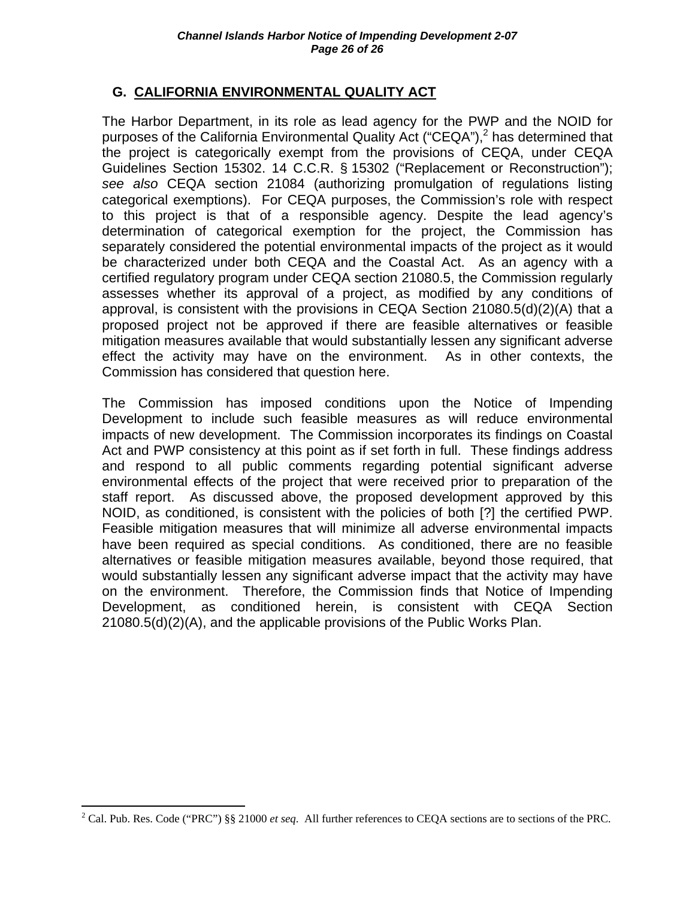#### **G. CALIFORNIA ENVIRONMENTAL QUALITY ACT**

The Harbor Department, in its role as lead agency for the PWP and the NOID for purposes of the California Environmental Quality Act ("CEQA"), $^2$  has determined that the project is categorically exempt from the provisions of CEQA, under CEQA Guidelines Section 15302. 14 C.C.R. § 15302 ("Replacement or Reconstruction"); *see also* CEQA section 21084 (authorizing promulgation of regulations listing categorical exemptions). For CEQA purposes, the Commission's role with respect to this project is that of a responsible agency. Despite the lead agency's determination of categorical exemption for the project, the Commission has separately considered the potential environmental impacts of the project as it would be characterized under both CEQA and the Coastal Act. As an agency with a certified regulatory program under CEQA section 21080.5, the Commission regularly assesses whether its approval of a project, as modified by any conditions of approval, is consistent with the provisions in CEQA Section 21080.5(d)(2)(A) that a proposed project not be approved if there are feasible alternatives or feasible mitigation measures available that would substantially lessen any significant adverse effect the activity may have on the environment. As in other contexts, the Commission has considered that question here.

The Commission has imposed conditions upon the Notice of Impending Development to include such feasible measures as will reduce environmental impacts of new development. The Commission incorporates its findings on Coastal Act and PWP consistency at this point as if set forth in full. These findings address and respond to all public comments regarding potential significant adverse environmental effects of the project that were received prior to preparation of the staff report. As discussed above, the proposed development approved by this NOID, as conditioned, is consistent with the policies of both [?] the certified PWP. Feasible mitigation measures that will minimize all adverse environmental impacts have been required as special conditions. As conditioned, there are no feasible alternatives or feasible mitigation measures available, beyond those required, that would substantially lessen any significant adverse impact that the activity may have on the environment. Therefore, the Commission finds that Notice of Impending Development, as conditioned herein, is consistent with CEQA Section 21080.5(d)(2)(A), and the applicable provisions of the Public Works Plan.

<sup>1</sup> <sup>2</sup> Cal. Pub. Res. Code ("PRC") §§ 21000 *et seq.* All further references to CEQA sections are to sections of the PRC.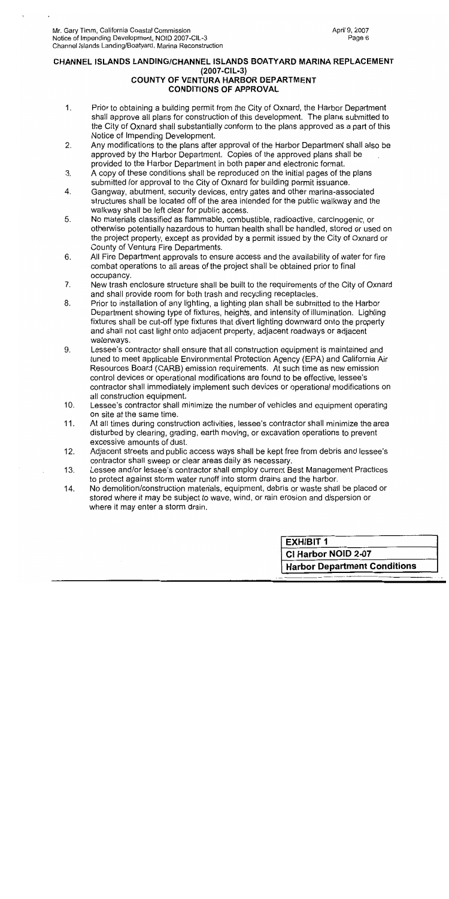#### CHANNEL ISLANDS LANDING/CHANNEL ISLANDS BOATYARD MARINA REPLACEMENT (2007-CIL-3) **COUNTY OF VENTURA HARBOR DEPARTMENT CONDITIONS OF APPROVAL**

- $\mathbf{1}$ . Prior to obtaining a building permit from the City of Oxnard, the Harbor Department shall approve all plans for construction of this development. The plans submitted to the City of Oxnard shall substantially conform to the plans approved as a part of this Notice of Impending Development.
- $2.$ Any modifications to the plans after approval of the Harbor Department shall also be approved by the Harbor Department. Copies of the approved plans shall be provided to the Harbor Department in both paper and electronic format.
- A copy of these conditions shall be reproduced on the initial pages of the plans  $3.$ submitted for approval to the City of Oxnard for building permit issuance.
- Gangway, abutment, security devices, entry gates and other marina-associated  $\overline{4}$ . structures shall be located off of the area intended for the public walkway and the walkway shall be left clear for public access.
- No materials classified as flammable, combustible, radioactive, carcinogenic, or 5. otherwise potentially hazardous to human health shall be handled, stored or used on the project property, except as provided by a permit issued by the City of Oxnard or County of Ventura Fire Departments.
- 6. All Fire Department approvals to ensure access and the availability of water for fire combat operations to all areas of the project shall be obtained prior to final occupancy.
- New trash enclosure structure shall be built to the requirements of the City of Oxnard  $7<sub>1</sub>$ and shall provide room for both trash and recycling receptacles.
- Prior to installation of any lighting, a lighting plan shall be submitted to the Harbor 8. Department showing type of fixtures, heights, and intensity of illumination. Lighting fixtures shall be cut-off type fixtures that divert lighting downward onto the property and shall not cast light onto adjacent property, adjacent roadways or adjacent waterways.
- 9. Lessee's contractor shall ensure that all construction equipment is maintained and tuned to meet applicable Environmental Protection Agency (EPA) and California Air Resources Board (CARB) emission requirements. At such time as new emission control devices or operational modifications are found to be effective, lessee's contractor shall immediately implement such devices or operational modifications on all construction equipment.
- $10.$ Lessee's contractor shall minimize the number of vehicles and equipment operating on site at the same time.
- At all times during construction activities, lessee's contractor shall minimize the area 11. disturbed by clearing, grading, earth moving, or excavation operations to prevent excessive amounts of dust.
- $12.$ Adjacent streets and public access ways shall be kept free from debris and lessee's contractor shall sweep or clear areas daily as necessary.
- Lessee and/or lessee's contractor shall employ current Best Management Practices  $13.$ to protect against storm water runoff into storm drains and the harbor.
- No demolition/construction materials, equipment, debris or waste shall be placed or 14. stored where it may be subject to wave, wind, or rain erosion and dispersion or where it may enter a storm drain.

**EXHIBIT 1** CI Harbor NOID 2-07 **Harbor Department Conditions**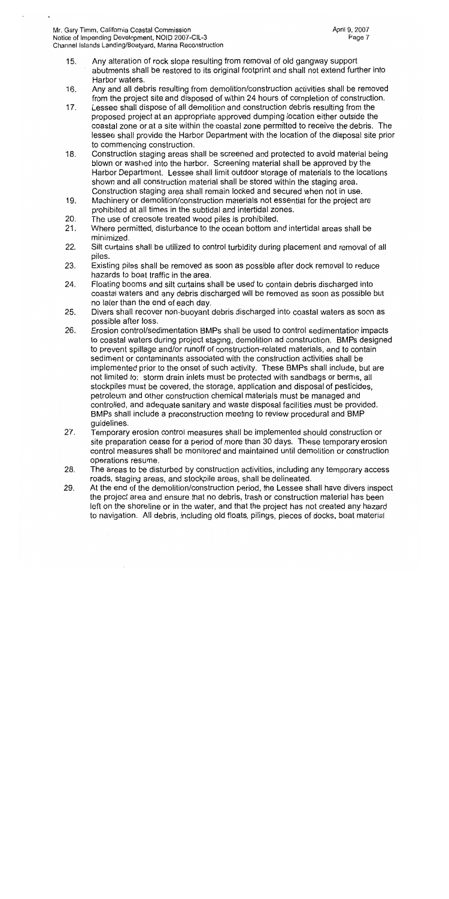- $15.$ Any alteration of rock slope resulting from removal of old gangway support abutments shall be restored to its original footprint and shall not extend further into Harbor waters.
- 16. Any and all debris resulting from demolition/construction activities shall be removed from the project site and disposed of within 24 hours of completion of construction.
- Lessee shall dispose of all demolition and construction debris resulting from the  $17.$ proposed project at an appropriate approved dumping location either outside the coastal zone or at a site within the coastal zone permitted to receive the debris. The lessee shall provide the Harbor Department with the location of the disposal site prior to commencing construction.
- Construction staging areas shall be screened and protected to avoid material being  $18.$ blown or washed into the harbor. Screening material shall be approved by the Harbor Department. Lessee shall limit outdoor storage of materials to the locations shown and all construction material shall be stored within the staging area. Construction staging area shall remain locked and secured when not in use.
- 19. Machinery or demolition/construction materials not essential for the project are prohibited at all times in the subtidal and intertidal zones.
- The use of creosote treated wood piles is prohibited. 20.
- Where permitted, disturbance to the ocean bottom and intertidal areas shall be  $21.$ minimized.
- $22.$ Silt curtains shall be utilized to control turbidity during placement and removal of all piles.
- 23. Existing piles shall be removed as soon as possible after dock removal to reduce hazards to boat traffic in the area.
- 24. Floating booms and silt curtains shall be used to contain debris discharged into coastal waters and any debris discharged will be removed as soon as possible but no later than the end of each day.
- 25. Divers shall recover non-buoyant debris discharged into coastal waters as soon as possible after loss.
- 26. Erosion control/sedimentation BMPs shall be used to control sedimentation impacts to coastal waters during project staging, demolition ad construction. BMPs designed to prevent spillage and/or runoff of construction-related materials, and to contain sediment or contaminants associated with the construction activities shall be implemented prior to the onset of such activity. These BMPs shall include, but are not limited to: storm drain inlets must be protected with sandbags or berms, all stockpiles must be covered, the storage, application and disposal of pesticides, petroleum and other construction chemical materials must be managed and controlled, and adequate sanitary and waste disposal facilities must be provided. BMPs shall include a preconstruction meeting to review procedural and BMP guidelines.
- 27. Temporary erosion control measures shall be implemented should construction or site preparation cease for a period of more than 30 days. These temporary erosion control measures shall be monitored and maintained until demolition or construction operations resume.
- The areas to be disturbed by construction activities, including any temporary access 28. roads, staging areas, and stockpile areas, shall be delineated.
- 29. At the end of the demolition/construction period, the Lessee shall have divers inspect the project area and ensure that no debris, trash or construction material has been left on the shoreline or in the water, and that the project has not created any hazard to navigation. All debris, including old floats, pilings, pieces of docks, boat material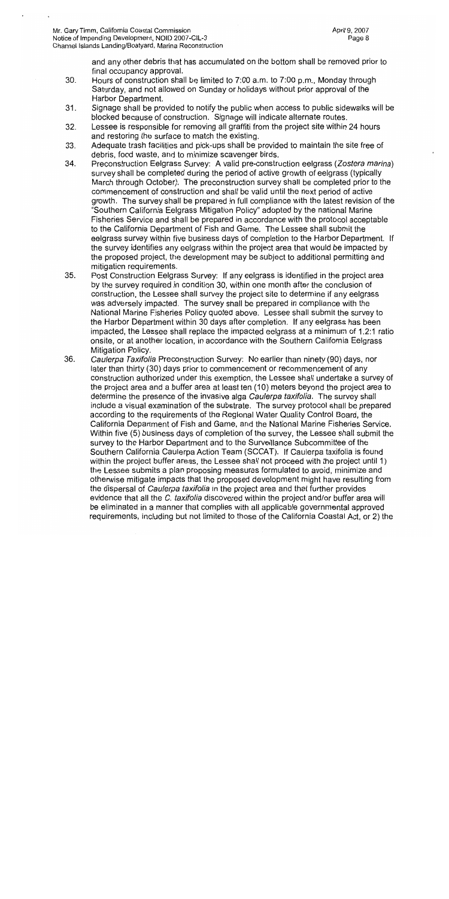and any other debris that has accumulated on the bottom shall be removed prior to final occupancy approval.

- 30. Hours of construction shall be limited to 7:00 a.m. to 7:00 p.m., Monday through Saturday, and not allowed on Sunday or holidays without prior approval of the Harbor Department.
- $31.$ Signage shall be provided to notify the public when access to public sidewalks will be blocked because of construction. Signage will indicate alternate routes.
- $32.$ Lessee is responsible for removing all graffiti from the project site within 24 hours and restoring the surface to match the existing.
- Adequate trash facilities and pick-ups shall be provided to maintain the site free of 33. debris, food waste, and to minimize scavenger birds.
- 34. Preconstruction Eelgrass Survey: A valid pre-construction eelgrass (Zostera marina) survey shall be completed during the period of active growth of eelgrass (typically March through October). The preconstruction survey shall be completed prior to the commencement of construction and shall be valid until the next period of active growth. The survey shall be prepared in full compliance with the latest revision of the "Southern California Eelgrass Mitigation Policy" adopted by the national Marine Fisheries Service and shall be prepared in accordance with the protocol acceptable to the California Department of Fish and Game. The Lessee shall submit the eelgrass survey within five business days of completion to the Harbor Department. If the survey identifies any eelgrass within the project area that would be impacted by the proposed project, the development may be subject to additional permitting and mitigation requirements.
- 35. Post Construction Eelgrass Survey: If any eelgrass is identified in the project area by the survey required in condition 30, within one month after the conclusion of construction, the Lessee shall survey the project site to determine if any eelgrass was adversely impacted. The survey shall be prepared in compliance with the National Marine Fisheries Policy quoted above. Lessee shall submit the survey to the Harbor Department within 30 days after completion. If any eelgrass has been impacted, the Lessee shall replace the impacted eelgrass at a minimum of 1.2:1 ratio onsite, or at another location, in accordance with the Southern California Eelgrass Mitigation Policy.
- 36. Caulerpa Taxifolia Preconstruction Survey: No earlier than ninety (90) days, nor later than thirty (30) days prior to commencement or recommencement of any construction authorized under this exemption, the Lessee shall undertake a survey of the project area and a buffer area at least ten (10) meters beyond the project area to determine the presence of the invasive alga Caulerpa taxifolia. The survey shall include a visual examination of the substrate. The survey protocol shall be prepared according to the requirements of the Regional Water Quality Control Board, the California Department of Fish and Game, and the National Marine Fisheries Service. Within five (5) business days of completion of the survey, the Lessee shall submit the survey to the Harbor Department and to the Surveillance Subcommittee of the Southern California Caulerpa Action Team (SCCAT). If Caulerpa taxifolia is found within the project buffer areas, the Lessee shall not proceed with the project until 1) the Lessee submits a plan proposing measures formulated to avoid, minimize and otherwise mitigate impacts that the proposed development might have resulting from the dispersal of Caulerpa taxifolia in the project area and that further provides evidence that all the C. taxifolia discovered within the project and/or buffer area will be eliminated in a manner that complies with all applicable governmental approved requirements, including but not limited to those of the California Coastal Act, or 2) the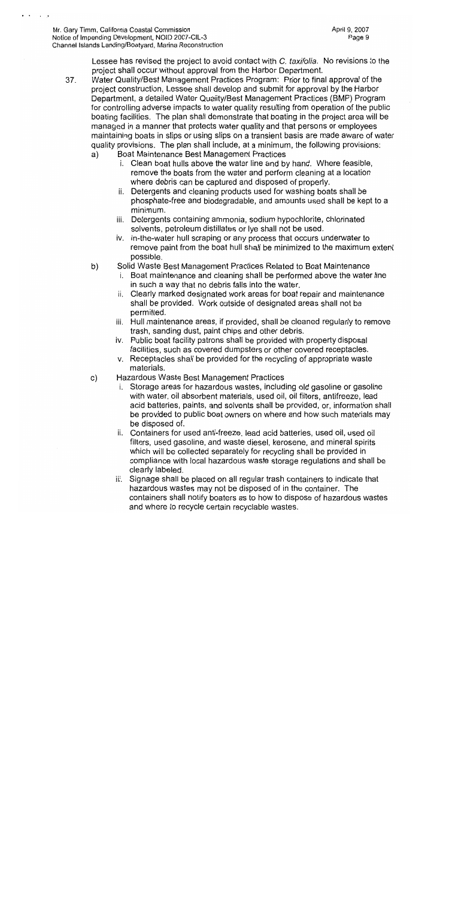Lessee has revised the project to avoid contact with C. taxifolia. No revisions to the project shall occur without approval from the Harbor Department.

- Water Quality/Best Management Practices Program: Prior to final approval of the 37. project construction, Lessee shall develop and submit for approval by the Harbor Department, a detailed Water Quality/Best Management Practices (BMP) Program for controlling adverse impacts to water quality resulting from operation of the public boating facilities. The plan shall demonstrate that boating in the project area will be managed in a manner that protects water quality and that persons or employees maintaining boats in slips or using slips on a transient basis are made aware of water quality provisions. The plan shall include, at a minimum, the following provisions:
	- Boat Maintenance Best Management Practices a)
		- i. Clean boat hulls above the water line and by hand. Where feasible, remove the boats from the water and perform cleaning at a location where debris can be captured and disposed of properly.
		- ii. Detergents and cleaning products used for washing boats shall be phosphate-free and biodegradable, and amounts used shall be kept to a minimum.
		- iii. Detergents containing ammonia, sodium hypochlorite, chlorinated solvents, petroleum distillates or lye shall not be used.
		- iv. In-the-water hull scraping or any process that occurs underwater to remove paint from the boat hull shall be minimized to the maximum extent possible.
	- b) Solid Waste Best Management Practices Related to Boat Maintenance
		- i. Boat maintenance and cleaning shall be performed above the water line in such a way that no debris falls into the water.
		- ii. Clearly marked designated work areas for boat repair and maintenance shall be provided. Work outside of designated areas shall not be permitted.
		- iii. Hull maintenance areas, if provided, shall be cleaned regularly to remove trash, sanding dust, paint chips and other debris.
		- iv. Public boat facility patrons shall be provided with property disposal facilities, such as covered dumpsters or other covered receptacles.
		- v. Receptacles shall be provided for the recycling of appropriate waste materials.
	- $\mathsf{C}$ ) Hazardous Waste Best Management Practices
		- Storage areas for hazardous wastes, including old gasoline or gasoline i. with water, oil absorbent materials, used oil, oil filters, antifreeze, lead acid batteries, paints, and solvents shall be provided, or, information shall be provided to public boat owners on where and how such materials may be disposed of.
		- ii. Containers for used anti-freeze, lead acid batteries, used oil, used oil filters, used gasoline, and waste diesel, kerosene, and mineral spirits which will be collected separately for recycling shall be provided in compliance with local hazardous waste storage regulations and shall be clearly labeled.
		- iii. Signage shall be placed on all regular trash containers to indicate that hazardous wastes may not be disposed of in the container. The containers shall notify boaters as to how to dispose of hazardous wastes and where to recycle certain recyclable wastes.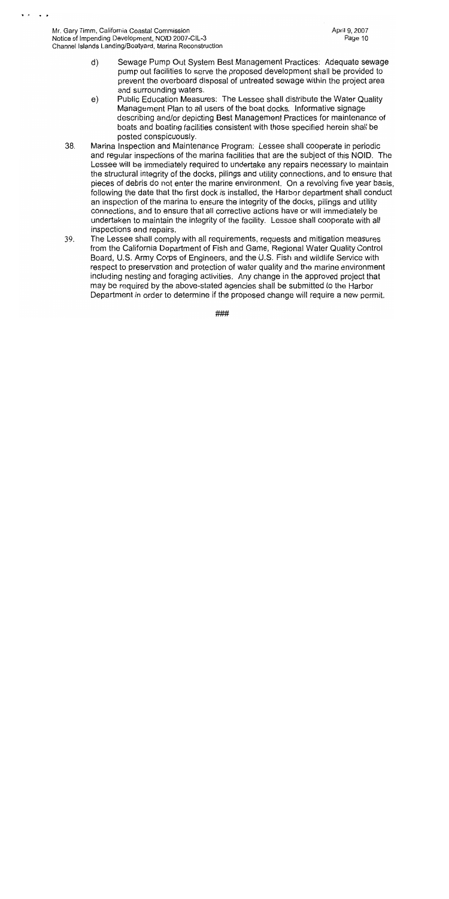Mr. Gary Timm, California Coastal Commission Notice of Impending Development, NOID 2007-CIL-3 Channel Islands Landing/Boatyard, Marina Reconstruction

- Sewage Pump Out System Best Management Practices: Adequate sewage  $\mathsf{d}$ pump out facilities to serve the proposed development shall be provided to prevent the overboard disposal of untreated sewage within the project area and surrounding waters.
- Public Education Measures: The Lessee shall distribute the Water Quality  $e)$ Management Plan to all users of the boat docks. Informative signage describing and/or depicting Best Management Practices for maintenance of boats and boating facilities consistent with those specified herein shall be posted conspicuously.
- Marina Inspection and Maintenance Program: Lessee shall cooperate in periodic 38. and regular inspections of the marina facilities that are the subject of this NOID. The Lessee will be immediately required to undertake any repairs necessary to maintain the structural integrity of the docks, pilings and utility connections, and to ensure that pieces of debris do not enter the marine environment. On a revolving five year basis, following the date that the first dock is installed, the Harbor department shall conduct an inspection of the marina to ensure the integrity of the docks, pilings and utility connections, and to ensure that all corrective actions have or will immediately be undertaken to maintain the integrity of the facility. Lessee shall cooperate with all inspections and repairs.
- 39. The Lessee shall comply with all requirements, requests and mitigation measures from the California Department of Fish and Game, Regional Water Quality Control Board, U.S. Army Corps of Engineers, and the U.S. Fish and wildlife Service with respect to preservation and protection of water quality and the marine environment including nesting and foraging activities. Any change in the approved project that may be required by the above-stated agencies shall be submitted to the Harbor Department in order to determine if the proposed change will require a new permit.

###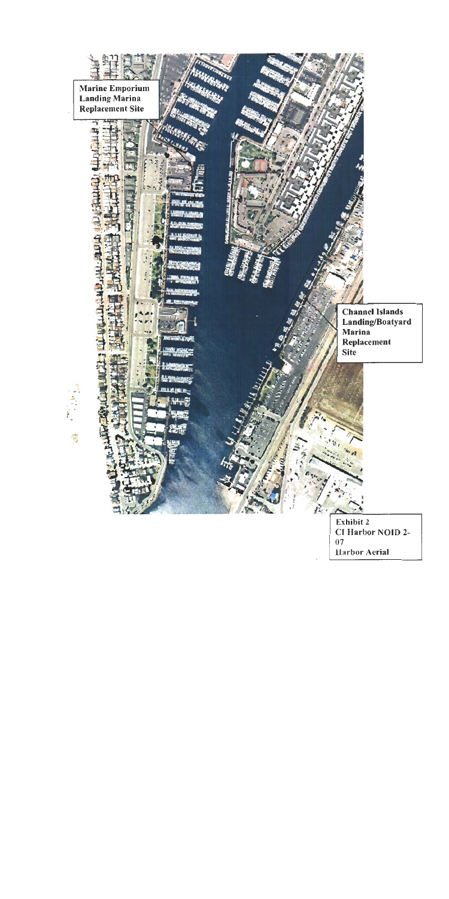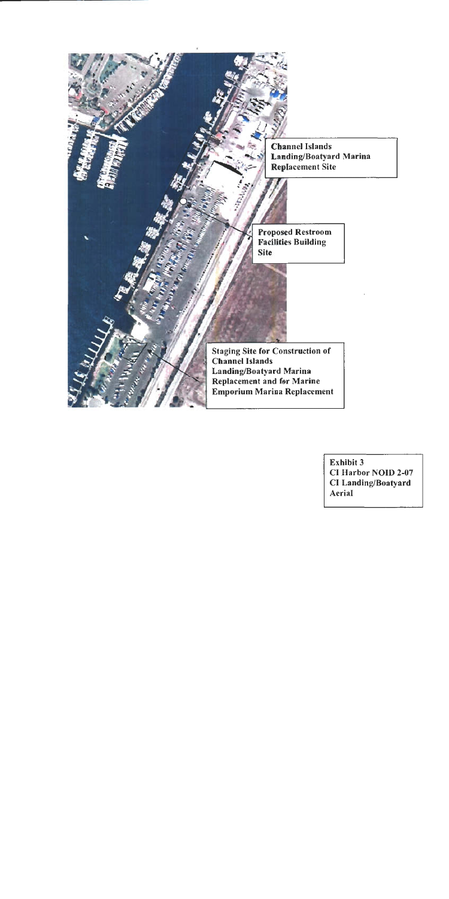

Exhibit 3 CI Harbor NOID 2-07 CI Landing/Boatyard Aerial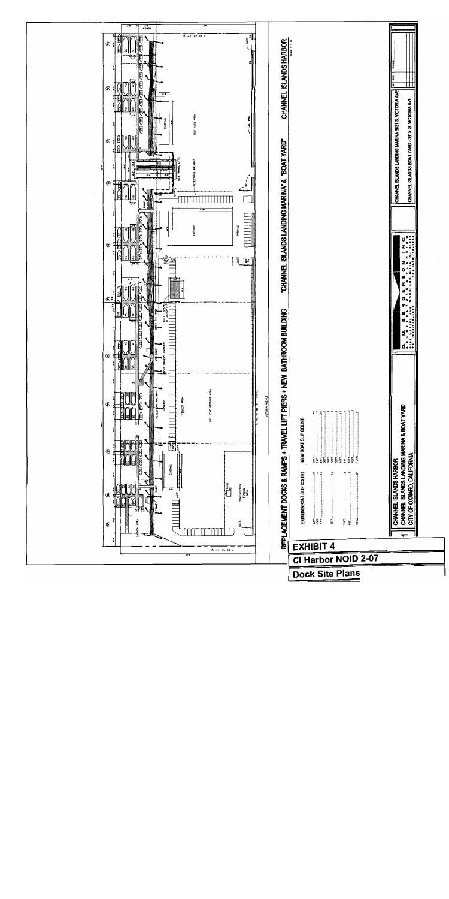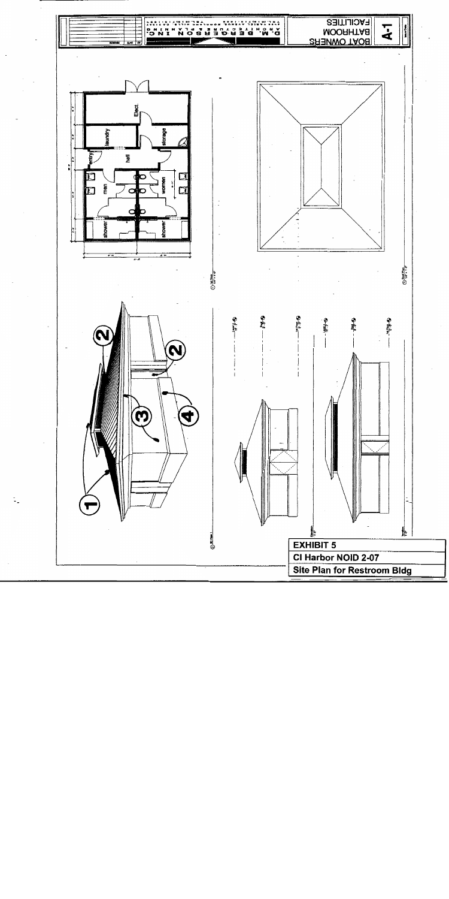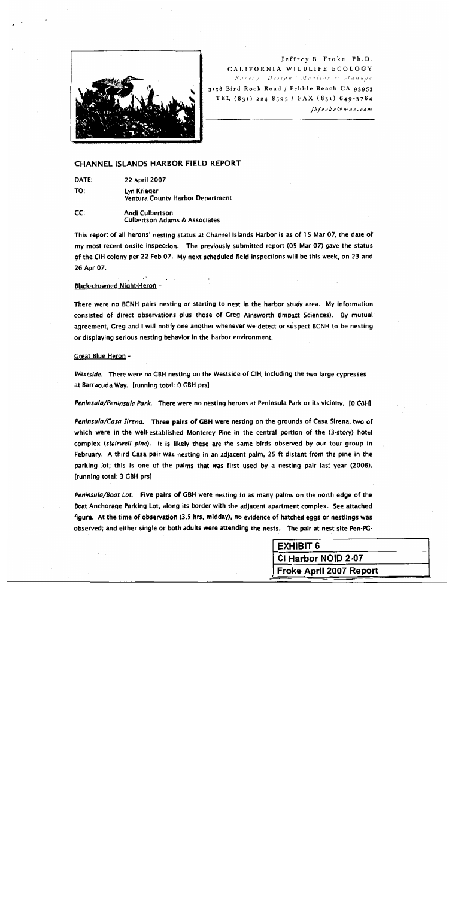

#### Jeffrey B. Froke, Ph.D. CALIFORNIA WILDLIFE ECOLOGY Survey Design Menitor & Manage 3158 Bird Rock Road / Pebble Beach CA 93953 TEL (831) 224-8595 / FAX (831) 649-3764

jbfroke@mac.com

#### **CHANNEL ISLANDS HARBOR FIELD REPORT**

DATE: 22 April 2007

TO:

Lyn Krieger **Ventura County Harbor Department** 

CC: Andi Culbertson **Culbertson Adams & Associates** 

This report of all herons' nesting status at Channel Islands Harbor is as of 15 Mar 07, the date of my most recent onsite inspection. The previously submitted report (05 Mar 07) gave the status of the CIH colony per 22 Feb 07. My next scheduled field inspections will be this week, on 23 and 26 Apr 07.

#### Black-crowned Night-Heron -

There were no BCNH pairs nesting or starting to nest in the harbor study area. My information consisted of direct observations plus those of Greg Ainsworth (Impact Sciences). By mutual agreement, Greg and I will notify one another whenever we detect or suspect BCNH to be nesting or displaying serious nesting behavior in the harbor environment.

#### **Great Blue Heron -**

Westside. There were no GBH nesting on the Westside of CIH, including the two large cypresses at Barracuda Way. [running total: 0 GBH prs]

Peninsula/Peninsula Park. There were no nesting herons at Peninsula Park or its vicinity. [O GBH]

Peninsula/Casa Sirena. Three pairs of GBH were nesting on the grounds of Casa Sirena, two of which were in the well-established Monterey Pine in the central portion of the (3-story) hotel complex (stairwell pine). It is likely these are the same birds observed by our tour group in February. A third Casa pair was nesting in an adjacent palm, 25 ft distant from the pine in the parking lot; this is one of the palms that was first used by a nesting pair last year (2006). [running total: 3 GBH prs]

Peninsula/Boat Lot. Five pairs of GBH were nesting in as many palms on the north edge of the Boat Anchorage Parking Lot, along its border with the adjacent apartment complex. See attached figure. At the time of observation (3.5 hrs, midday), no evidence of hatched eggs or nestlings was observed; and either single or both adults were attending the nests. The pair at nest site Pen-PG-

| <b>EXHIBIT 6</b>               |  |
|--------------------------------|--|
| CI Harbor NOID 2-07            |  |
| <b>Froke April 2007 Report</b> |  |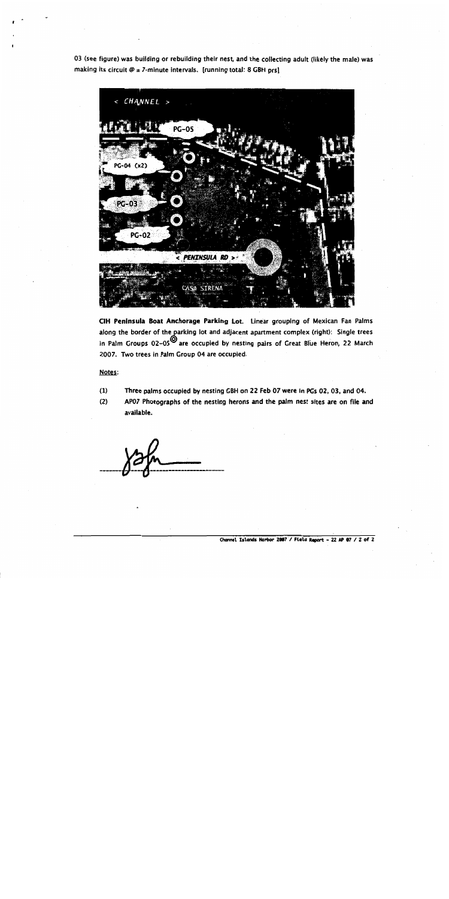03 (see figure) was building or rebuilding their nest, and the collecting adult (likely the male) was making its circuit  $\emptyset$  ± 7-minute intervals. [running total: 8 GBH prs]



CIH Peninsula Boat Anchorage Parking Lot. Linear grouping of Mexican Fan Palms along the border of the parking lot and adjacent apartment complex (right): Single trees in Palm Groups 02-05<sup>0</sup> are occupied by nesting pairs of Great Blue Heron, 22 March 2007. Two trees in Palm Group 04 are occupied.

#### Notes:

- $(1)$ Three palms occupied by nesting GBH on 22 Feb 07 were in PGs 02, 03, and 04.
- $(2)$ AP07 Photographs of the nesting herons and the palm nest sites are on file and available.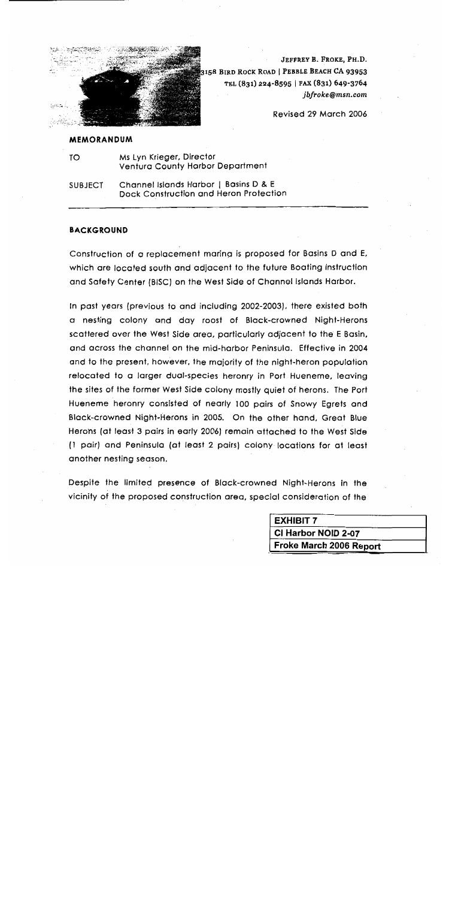

JEFFREY B. FROKE, PH.D. 3158 BIRD ROCK ROAD | PEBBLE BEACH CA 93953 TEL (831) 224-8595 | FAX (831) 649-3764 jbfroke@msn.com

Revised 29 March 2006

#### **MEMORANDUM**

TO Ms Lyn Krieger, Director **Ventura County Harbor Department** 

Channel Islands Harbor | Basins D & E **SUBJECT** Dock Construction and Heron Protection

#### **BACKGROUND**

Construction of a replacement maring is proposed for Basins D and E, which are located south and adjacent to the future Boating Instruction and Safety Center (BISC) on the West Side of Channel Islands Harbor.

In past years (previous to and including 2002-2003), there existed both a nesting colony and day roost of Black-crowned Night-Herons scattered over the West Side area, particularly adjacent to the E Basin, and across the channel on the mid-harbor Peninsula. Effective in 2004 and to the present, however, the majority of the night-heron population relocated to a larger dual-species heronry in Port Hueneme, leaving the sites of the former West Side colony mostly quiet of herons. The Port Hueneme heronry consisted of nearly 100 pairs of Snowy Egrets and Black-crowned Night-Herons in 2005. On the other hand, Great Blue Herons (at least 3 pairs in early 2006) remain attached to the West Side (1 pair) and Peninsula (at least 2 pairs) colony locations for at least another nesting season.

Despite the limited presence of Black-crowned Night-Herons in the vicinity of the proposed construction area, special consideration of the

| <b>EXHIBIT 7</b>        |  |
|-------------------------|--|
| CI Harbor NOID 2-07     |  |
| Froke March 2006 Report |  |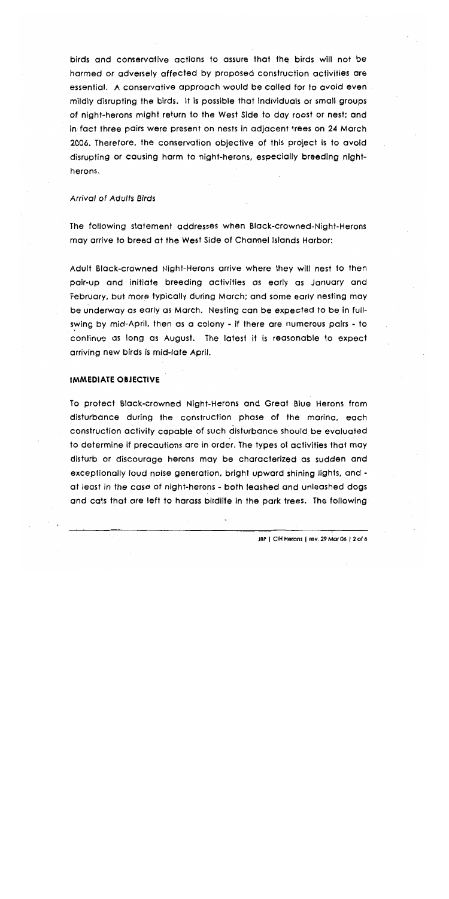birds and conservative actions to assure that the birds will not be harmed or adversely affected by proposed construction activities are essential. A conservative approach would be called for to avoid even mildly disrupting the birds. It is possible that individuals or small groups of night-herons might return to the West Side to day roost or nest; and in fact three pairs were present on nests in adjacent trees on 24 March 2006. Therefore, the conservation objective of this project is to avoid disrupting or causing harm to night-herons, especially breeding nightherons.

#### **Arrival of Adults Birds**

The following statement addresses when Black-crowned-Night-Herons may arrive to breed at the West Side of Channel Islands Harbor:

Adult Black-crowned Night-Herons arrive where they will nest to then pair-up and initiate breeding activities as early as January and February, but more typically during March; and some early nesting may be underway as early as March. Nesting can be expected to be in fullswing by mid-April, then as a colony - if there are numerous pairs - to continue as long as August. The latest it is reasonable to expect arriving new birds is mid-late April.

#### **IMMEDIATE OBJECTIVE**

To protect Black-crowned Night-Herons and Great Blue Herons from disturbance during the construction phase of the maring, each construction activity capable of such disturbance should be evaluated to determine if precautions are in order. The types of activities that may disturb or discourage herons may be characterized as sudden and exceptionally loud noise generation, bright upward shining lights, and at least in the case of night-herons - both leashed and unleashed dogs and cats that are left to harass birdlife in the park trees. The following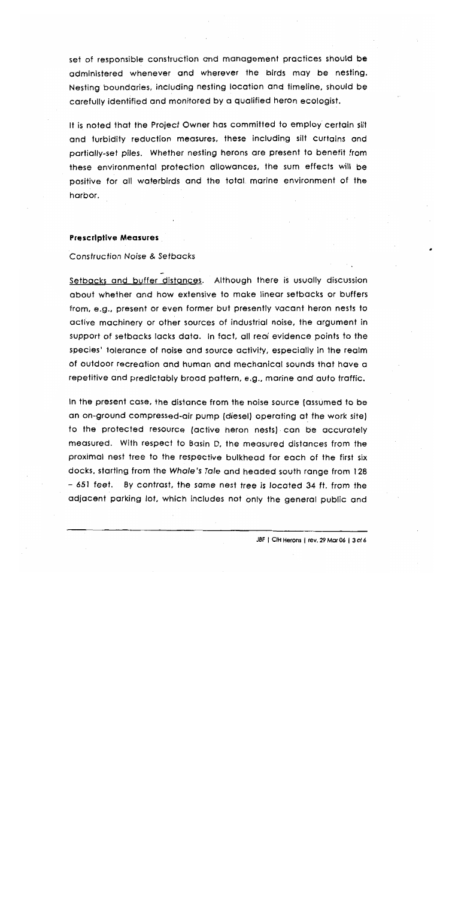set of responsible construction and management practices should be administered whenever and wherever the birds may be nesting. Nesting boundaries, including nesting location and fimeline, should be carefully identified and monitored by a qualified heron ecologist.

It is noted that the Project Owner has committed to employ certain silt and turbidity reduction measures, these including silt curtains and partially-set piles. Whether nesting herons are present to benefit from these environmental protection allowances, the sum effects will be positive for all waterbirds and the total marine environment of the harbor.

#### **Prescriptive Measures**

#### **Construction Noise & Setbacks**

Setbacks and buffer distances. Although there is usually discussion about whether and how extensive to make linear setbacks or buffers from, e.g., present or even former but presently vacant heron nests to active machinery or other sources of industrial noise, the argument in support of setbacks lacks data. In fact, all real evidence points to the species' tolerance of noise and source activity, especially in the realm of outdoor recreation and human and mechanical sounds that have a repetitive and predictably broad pattern, e.g., marine and auto traffic.

In the present case, the distance from the noise source (assumed to be an on-ground compressed-air pump (diesel) operating at the work site) to the protected resource (active heron nests) can be accurately measured. With respect to Basin D, the measured distances from the proximal nest tree to the respective bulkhead for each of the first six docks, starting from the Whale's Tale and headed south range from 128 – 651 feet. By contrast, the same nest tree is located 34 ft. from the adjacent parking lot, which includes not only the general public and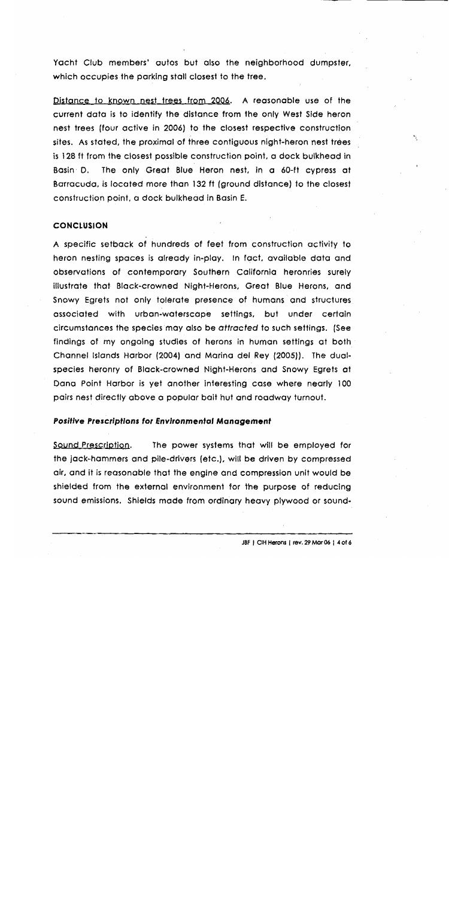Yacht Club members' autos but also the neighborhood dumpster, which occupies the parking stall closest to the tree.

Distance to known nest trees from 2006. A reasonable use of the current data is to identify the distance from the only West Side heron nest trees (four active in 2006) to the closest respective construction sites. As stated, the proximal of three contiguous night-heron nest trees is 128 ft from the closest possible construction point, a dock bulkhead in The only Great Blue Heron nest, in a 60-ft cypress at Basin D. Barracuda, is located more than 132 ft (ground distance) to the closest construction point, a dock bulkhead in Basin E.

#### **CONCLUSION**

A specific setback of hundreds of feet from construction activity to heron nesting spaces is already in-play. In fact, available data and observations of contemporary Southern California heronries surely illustrate that Black-crowned Night-Herons, Great Blue Herons, and Snowy Egrets not only tolerate presence of humans and structures associated with urban-waterscape settings, but under certain circumstances the species may also be attracted to such settings. (See findings of my ongoing studies of herons in human settings at both Channel Islands Harbor (2004) and Marina del Rey (2005)). The dualspecies heronry of Black-crowned Night-Herons and Snowy Egrets at Dana Point Harbor is yet another interesting case where nearly 100 pairs nest directly above a popular bait hut and roadway turnout.

#### **Positive Prescriptions for Environmental Management**

Sound Prescription. The power systems that will be employed for the jack-hammers and pile-drivers (etc.), will be driven by compressed air, and it is reasonable that the engine and compression unit would be shielded from the external environment for the purpose of reducing sound emissions. Shields made from ordinary heavy plywood or soundN.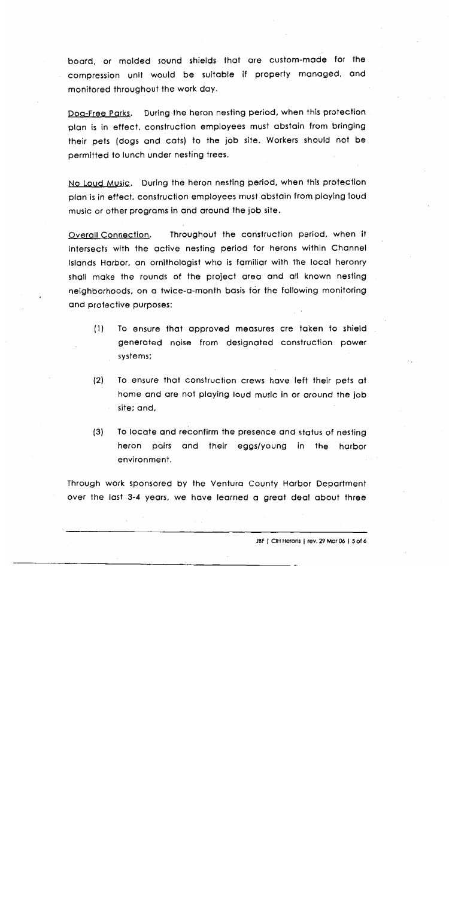board, or molded sound shields that are custom-made for the compression unit would be suitable if property managed, and monitored throughout the work day.

During the heron nesting period, when this protection Dog-Free Parks. plan is in effect, construction employees must abstain from bringing their pets (dogs and cats) to the job site. Workers should not be permitted to lunch under nesting trees.

No Loud Music. During the heron nesting period, when this protection plan is in effect, construction employees must abstain from playing loud music or other programs in and around the job site.

Throughout the construction period, when it **Overall Connection.** intersects with the active nesting period for herons within Channel Islands Harbor, an ornithologist who is familiar with the local heronry shall make the rounds of the project area and all known nesting neighborhoods, on a twice-a-month basis for the following monitoring and protective purposes:

- To ensure that approved measures are taken to shield  $(1)$ generated noise from designated construction power systems;
- $(2)$ To ensure that construction crews have left their pets at home and are not playing loud music in or around the job site; and,
- $(3)$ To locate and reconfirm the presence and status of nesting heron pairs and their eggs/young in the harbor environment.

Through work sponsored by the Ventura County Harbor Department over the last 3-4 years, we have learned a great deal about three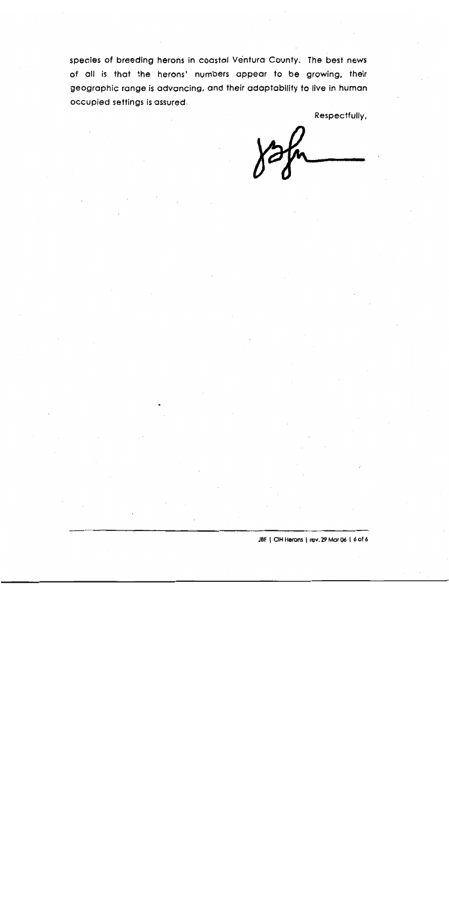species of breeding herons in coastal Ventura County. The best news of all is that the herons' numbers appear to be growing, their geographic range is advancing, and their adaptability to live in human occupied settings is assured.

Respectfully,